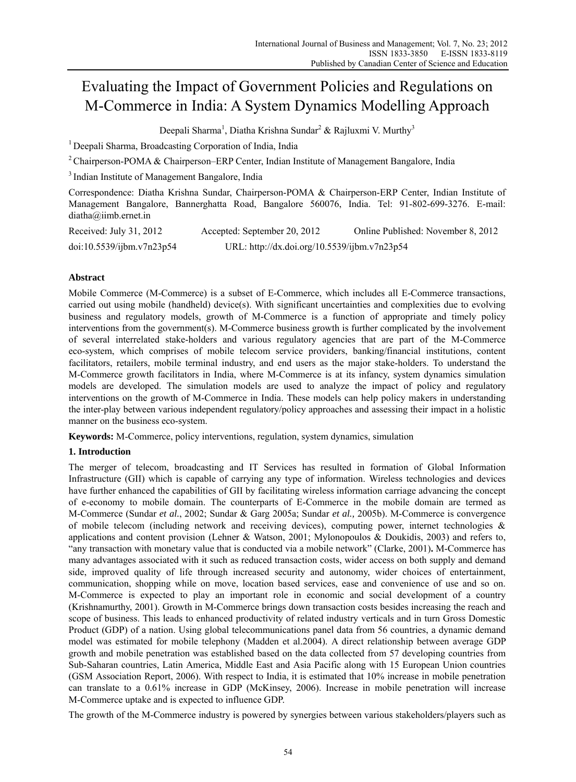# Evaluating the Impact of Government Policies and Regulations on M-Commerce in India: A System Dynamics Modelling Approach

Deepali Sharma<sup>1</sup>, Diatha Krishna Sundar<sup>2</sup> & Rajluxmi V. Murthy<sup>3</sup>

<sup>1</sup> Deepali Sharma, Broadcasting Corporation of India, India

2 Chairperson-POMA & Chairperson–ERP Center, Indian Institute of Management Bangalore, India

<sup>3</sup> Indian Institute of Management Bangalore, India

Correspondence: Diatha Krishna Sundar, Chairperson-POMA & Chairperson-ERP Center, Indian Institute of Management Bangalore, Bannerghatta Road, Bangalore 560076, India. Tel: 91-802-699-3276. E-mail: diatha@iimb.ernet.in

Received: July 31, 2012 Accepted: September 20, 2012 Online Published: November 8, 2012 doi:10.5539/ijbm.v7n23p54 URL: http://dx.doi.org/10.5539/ijbm.v7n23p54

# **Abstract**

Mobile Commerce (M-Commerce) is a subset of E-Commerce, which includes all E-Commerce transactions, carried out using mobile (handheld) device(s). With significant uncertainties and complexities due to evolving business and regulatory models, growth of M-Commerce is a function of appropriate and timely policy interventions from the government(s). M-Commerce business growth is further complicated by the involvement of several interrelated stake-holders and various regulatory agencies that are part of the M-Commerce eco-system, which comprises of mobile telecom service providers, banking/financial institutions, content facilitators, retailers, mobile terminal industry, and end users as the major stake-holders. To understand the M-Commerce growth facilitators in India, where M-Commerce is at its infancy, system dynamics simulation models are developed. The simulation models are used to analyze the impact of policy and regulatory interventions on the growth of M-Commerce in India. These models can help policy makers in understanding the inter-play between various independent regulatory/policy approaches and assessing their impact in a holistic manner on the business eco-system.

**Keywords:** M-Commerce, policy interventions, regulation, system dynamics, simulation

## **1. Introduction**

The merger of telecom, broadcasting and IT Services has resulted in formation of Global Information Infrastructure (GII) which is capable of carrying any type of information. Wireless technologies and devices have further enhanced the capabilities of GII by facilitating wireless information carriage advancing the concept of e-economy to mobile domain. The counterparts of E-Commerce in the mobile domain are termed as M-Commerce (Sundar *et al.*, 2002; Sundar & Garg 2005a; Sundar *et al.,* 2005b). M-Commerce is convergence of mobile telecom (including network and receiving devices), computing power, internet technologies  $\&$ applications and content provision (Lehner & Watson, 2001; Mylonopoulos & Doukidis, 2003) and refers to, "any transaction with monetary value that is conducted via a mobile network" (Clarke, 2001)**.** M-Commerce has many advantages associated with it such as reduced transaction costs, wider access on both supply and demand side, improved quality of life through increased security and autonomy, wider choices of entertainment, communication, shopping while on move, location based services, ease and convenience of use and so on. M-Commerce is expected to play an important role in economic and social development of a country (Krishnamurthy, 2001). Growth in M-Commerce brings down transaction costs besides increasing the reach and scope of business. This leads to enhanced productivity of related industry verticals and in turn Gross Domestic Product (GDP) of a nation. Using global telecommunications panel data from 56 countries, a dynamic demand model was estimated for mobile telephony (Madden et al.2004). A direct relationship between average GDP growth and mobile penetration was established based on the data collected from 57 developing countries from Sub-Saharan countries, Latin America, Middle East and Asia Pacific along with 15 European Union countries (GSM Association Report, 2006). With respect to India, it is estimated that 10% increase in mobile penetration can translate to a 0.61% increase in GDP (McKinsey, 2006). Increase in mobile penetration will increase M-Commerce uptake and is expected to influence GDP.

The growth of the M-Commerce industry is powered by synergies between various stakeholders/players such as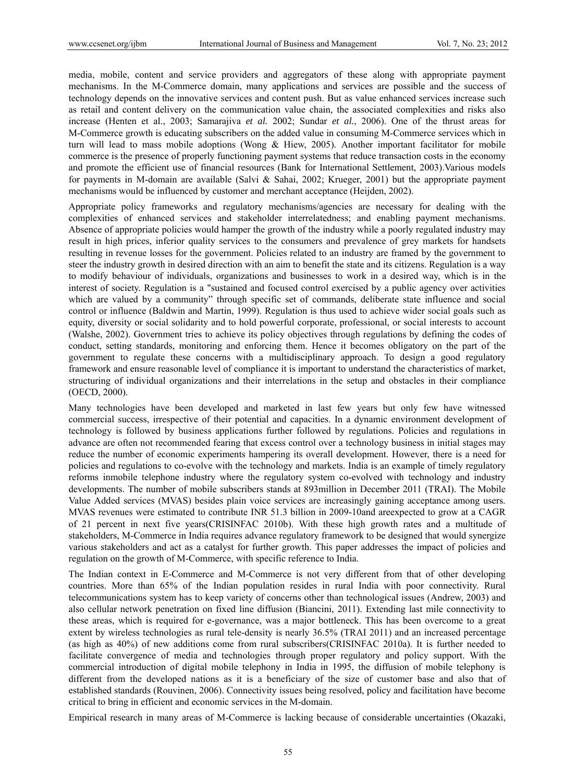media, mobile, content and service providers and aggregators of these along with appropriate payment mechanisms. In the M-Commerce domain, many applications and services are possible and the success of technology depends on the innovative services and content push. But as value enhanced services increase such as retail and content delivery on the communication value chain, the associated complexities and risks also increase (Henten et al., 2003; Samarajiva *et al.* 2002; Sundar *et al.*, 2006). One of the thrust areas for M-Commerce growth is educating subscribers on the added value in consuming M-Commerce services which in turn will lead to mass mobile adoptions (Wong & Hiew, 2005). Another important facilitator for mobile commerce is the presence of properly functioning payment systems that reduce transaction costs in the economy and promote the efficient use of financial resources (Bank for International Settlement, 2003).Various models for payments in M-domain are available (Salvi & Sahai, 2002; Krueger, 2001) but the appropriate payment mechanisms would be influenced by customer and merchant acceptance (Heijden, 2002).

Appropriate policy frameworks and regulatory mechanisms/agencies are necessary for dealing with the complexities of enhanced services and stakeholder interrelatedness; and enabling payment mechanisms. Absence of appropriate policies would hamper the growth of the industry while a poorly regulated industry may result in high prices, inferior quality services to the consumers and prevalence of grey markets for handsets resulting in revenue losses for the government. Policies related to an industry are framed by the government to steer the industry growth in desired direction with an aim to benefit the state and its citizens. Regulation is a way to modify behaviour of individuals, organizations and businesses to work in a desired way, which is in the interest of society. Regulation is a "sustained and focused control exercised by a public agency over activities which are valued by a community" through specific set of commands, deliberate state influence and social control or influence (Baldwin and Martin, 1999). Regulation is thus used to achieve wider social goals such as equity, diversity or social solidarity and to hold powerful corporate, professional, or social interests to account (Walshe, 2002). Government tries to achieve its policy objectives through regulations by defining the codes of conduct, setting standards, monitoring and enforcing them. Hence it becomes obligatory on the part of the government to regulate these concerns with a multidisciplinary approach. To design a good regulatory framework and ensure reasonable level of compliance it is important to understand the characteristics of market, structuring of individual organizations and their interrelations in the setup and obstacles in their compliance (OECD, 2000).

Many technologies have been developed and marketed in last few years but only few have witnessed commercial success, irrespective of their potential and capacities. In a dynamic environment development of technology is followed by business applications further followed by regulations. Policies and regulations in advance are often not recommended fearing that excess control over a technology business in initial stages may reduce the number of economic experiments hampering its overall development. However, there is a need for policies and regulations to co-evolve with the technology and markets. India is an example of timely regulatory reforms inmobile telephone industry where the regulatory system co-evolved with technology and industry developments. The number of mobile subscribers stands at 893million in December 2011 (TRAI). The Mobile Value Added services (MVAS) besides plain voice services are increasingly gaining acceptance among users. MVAS revenues were estimated to contribute INR 51.3 billion in 2009-10and areexpected to grow at a CAGR of 21 percent in next five years(CRISINFAC 2010b). With these high growth rates and a multitude of stakeholders, M-Commerce in India requires advance regulatory framework to be designed that would synergize various stakeholders and act as a catalyst for further growth. This paper addresses the impact of policies and regulation on the growth of M-Commerce, with specific reference to India.

The Indian context in E-Commerce and M-Commerce is not very different from that of other developing countries. More than 65% of the Indian population resides in rural India with poor connectivity. Rural telecommunications system has to keep variety of concerns other than technological issues (Andrew, 2003) and also cellular network penetration on fixed line diffusion (Biancini, 2011). Extending last mile connectivity to these areas, which is required for e-governance, was a major bottleneck. This has been overcome to a great extent by wireless technologies as rural tele-density is nearly 36.5% (TRAI 2011) and an increased percentage (as high as 40%) of new additions come from rural subscribers(CRISINFAC 2010a). It is further needed to facilitate convergence of media and technologies through proper regulatory and policy support. With the commercial introduction of digital mobile telephony in India in 1995, the diffusion of mobile telephony is different from the developed nations as it is a beneficiary of the size of customer base and also that of established standards (Rouvinen, 2006). Connectivity issues being resolved, policy and facilitation have become critical to bring in efficient and economic services in the M-domain.

Empirical research in many areas of M-Commerce is lacking because of considerable uncertainties (Okazaki,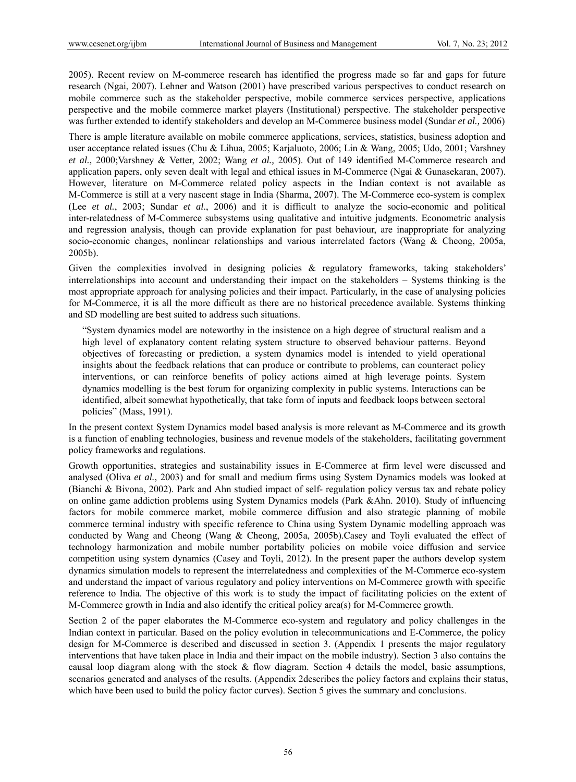2005). Recent review on M-commerce research has identified the progress made so far and gaps for future research (Ngai, 2007). Lehner and Watson (2001) have prescribed various perspectives to conduct research on mobile commerce such as the stakeholder perspective, mobile commerce services perspective, applications perspective and the mobile commerce market players (Institutional) perspective. The stakeholder perspective was further extended to identify stakeholders and develop an M-Commerce business model (Sundar *et al.,* 2006)

There is ample literature available on mobile commerce applications, services, statistics, business adoption and user acceptance related issues (Chu & Lihua, 2005; Karjaluoto, 2006; Lin & Wang, 2005; Udo, 2001; Varshney *et al.,* 2000;Varshney & Vetter, 2002; Wang *et al.,* 2005). Out of 149 identified M-Commerce research and application papers, only seven dealt with legal and ethical issues in M-Commerce (Ngai & Gunasekaran, 2007). However, literature on M-Commerce related policy aspects in the Indian context is not available as M-Commerce is still at a very nascent stage in India (Sharma, 2007). The M-Commerce eco-system is complex (Lee *et al.*, 2003; Sundar *et al*., 2006) and it is difficult to analyze the socio-economic and political inter-relatedness of M-Commerce subsystems using qualitative and intuitive judgments. Econometric analysis and regression analysis, though can provide explanation for past behaviour, are inappropriate for analyzing socio-economic changes, nonlinear relationships and various interrelated factors (Wang & Cheong, 2005a, 2005b).

Given the complexities involved in designing policies & regulatory frameworks, taking stakeholders' interrelationships into account and understanding their impact on the stakeholders – Systems thinking is the most appropriate approach for analysing policies and their impact. Particularly, in the case of analysing policies for M-Commerce, it is all the more difficult as there are no historical precedence available. Systems thinking and SD modelling are best suited to address such situations.

"System dynamics model are noteworthy in the insistence on a high degree of structural realism and a high level of explanatory content relating system structure to observed behaviour patterns. Beyond objectives of forecasting or prediction, a system dynamics model is intended to yield operational insights about the feedback relations that can produce or contribute to problems, can counteract policy interventions, or can reinforce benefits of policy actions aimed at high leverage points. System dynamics modelling is the best forum for organizing complexity in public systems. Interactions can be identified, albeit somewhat hypothetically, that take form of inputs and feedback loops between sectoral policies" (Mass, 1991).

In the present context System Dynamics model based analysis is more relevant as M-Commerce and its growth is a function of enabling technologies, business and revenue models of the stakeholders, facilitating government policy frameworks and regulations.

Growth opportunities, strategies and sustainability issues in E-Commerce at firm level were discussed and analysed (Oliva *et al.*, 2003) and for small and medium firms using System Dynamics models was looked at (Bianchi & Bivona, 2002). Park and Ahn studied impact of self- regulation policy versus tax and rebate policy on online game addiction problems using System Dynamics models (Park &Ahn. 2010). Study of influencing factors for mobile commerce market, mobile commerce diffusion and also strategic planning of mobile commerce terminal industry with specific reference to China using System Dynamic modelling approach was conducted by Wang and Cheong (Wang & Cheong, 2005a, 2005b).Casey and Toyli evaluated the effect of technology harmonization and mobile number portability policies on mobile voice diffusion and service competition using system dynamics (Casey and Toyli, 2012). In the present paper the authors develop system dynamics simulation models to represent the interrelatedness and complexities of the M-Commerce eco-system and understand the impact of various regulatory and policy interventions on M-Commerce growth with specific reference to India. The objective of this work is to study the impact of facilitating policies on the extent of M-Commerce growth in India and also identify the critical policy area(s) for M-Commerce growth.

Section 2 of the paper elaborates the M-Commerce eco-system and regulatory and policy challenges in the Indian context in particular. Based on the policy evolution in telecommunications and E-Commerce, the policy design for M-Commerce is described and discussed in section 3. (Appendix 1 presents the major regulatory interventions that have taken place in India and their impact on the mobile industry). Section 3 also contains the causal loop diagram along with the stock  $\&$  flow diagram. Section 4 details the model, basic assumptions, scenarios generated and analyses of the results. (Appendix 2describes the policy factors and explains their status, which have been used to build the policy factor curves). Section 5 gives the summary and conclusions.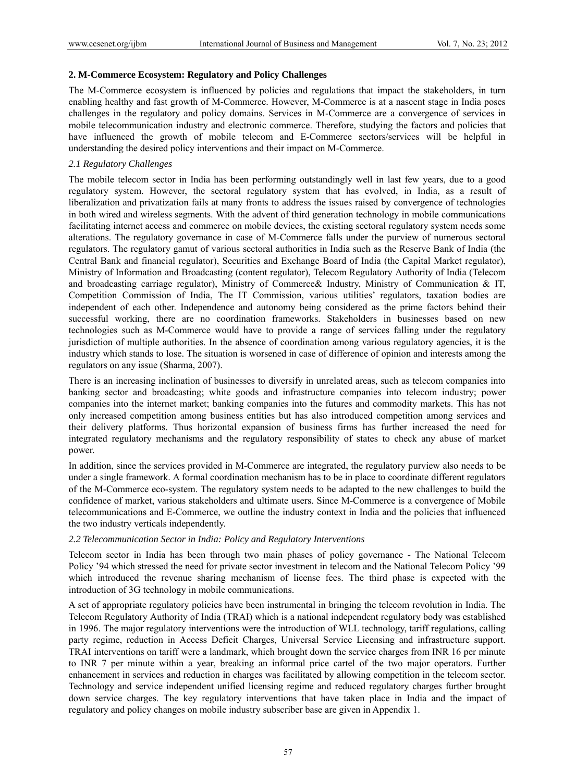# **2. M-Commerce Ecosystem: Regulatory and Policy Challenges**

The M-Commerce ecosystem is influenced by policies and regulations that impact the stakeholders, in turn enabling healthy and fast growth of M-Commerce. However, M-Commerce is at a nascent stage in India poses challenges in the regulatory and policy domains. Services in M-Commerce are a convergence of services in mobile telecommunication industry and electronic commerce. Therefore, studying the factors and policies that have influenced the growth of mobile telecom and E-Commerce sectors/services will be helpful in understanding the desired policy interventions and their impact on M-Commerce.

# *2.1 Regulatory Challenges*

The mobile telecom sector in India has been performing outstandingly well in last few years, due to a good regulatory system. However, the sectoral regulatory system that has evolved, in India, as a result of liberalization and privatization fails at many fronts to address the issues raised by convergence of technologies in both wired and wireless segments. With the advent of third generation technology in mobile communications facilitating internet access and commerce on mobile devices, the existing sectoral regulatory system needs some alterations. The regulatory governance in case of M-Commerce falls under the purview of numerous sectoral regulators. The regulatory gamut of various sectoral authorities in India such as the Reserve Bank of India (the Central Bank and financial regulator), Securities and Exchange Board of India (the Capital Market regulator), Ministry of Information and Broadcasting (content regulator), Telecom Regulatory Authority of India (Telecom and broadcasting carriage regulator), Ministry of Commerce& Industry, Ministry of Communication & IT, Competition Commission of India, The IT Commission, various utilities' regulators, taxation bodies are independent of each other. Independence and autonomy being considered as the prime factors behind their successful working, there are no coordination frameworks. Stakeholders in businesses based on new technologies such as M-Commerce would have to provide a range of services falling under the regulatory jurisdiction of multiple authorities. In the absence of coordination among various regulatory agencies, it is the industry which stands to lose. The situation is worsened in case of difference of opinion and interests among the regulators on any issue (Sharma, 2007).

There is an increasing inclination of businesses to diversify in unrelated areas, such as telecom companies into banking sector and broadcasting; white goods and infrastructure companies into telecom industry; power companies into the internet market; banking companies into the futures and commodity markets. This has not only increased competition among business entities but has also introduced competition among services and their delivery platforms. Thus horizontal expansion of business firms has further increased the need for integrated regulatory mechanisms and the regulatory responsibility of states to check any abuse of market power.

In addition, since the services provided in M-Commerce are integrated, the regulatory purview also needs to be under a single framework. A formal coordination mechanism has to be in place to coordinate different regulators of the M-Commerce eco-system. The regulatory system needs to be adapted to the new challenges to build the confidence of market, various stakeholders and ultimate users. Since M-Commerce is a convergence of Mobile telecommunications and E-Commerce, we outline the industry context in India and the policies that influenced the two industry verticals independently.

## *2.2 Telecommunication Sector in India: Policy and Regulatory Interventions*

Telecom sector in India has been through two main phases of policy governance - The National Telecom Policy '94 which stressed the need for private sector investment in telecom and the National Telecom Policy '99 which introduced the revenue sharing mechanism of license fees. The third phase is expected with the introduction of 3G technology in mobile communications.

A set of appropriate regulatory policies have been instrumental in bringing the telecom revolution in India. The Telecom Regulatory Authority of India (TRAI) which is a national independent regulatory body was established in 1996. The major regulatory interventions were the introduction of WLL technology, tariff regulations, calling party regime, reduction in Access Deficit Charges, Universal Service Licensing and infrastructure support. TRAI interventions on tariff were a landmark, which brought down the service charges from INR 16 per minute to INR 7 per minute within a year, breaking an informal price cartel of the two major operators. Further enhancement in services and reduction in charges was facilitated by allowing competition in the telecom sector. Technology and service independent unified licensing regime and reduced regulatory charges further brought down service charges. The key regulatory interventions that have taken place in India and the impact of regulatory and policy changes on mobile industry subscriber base are given in Appendix 1.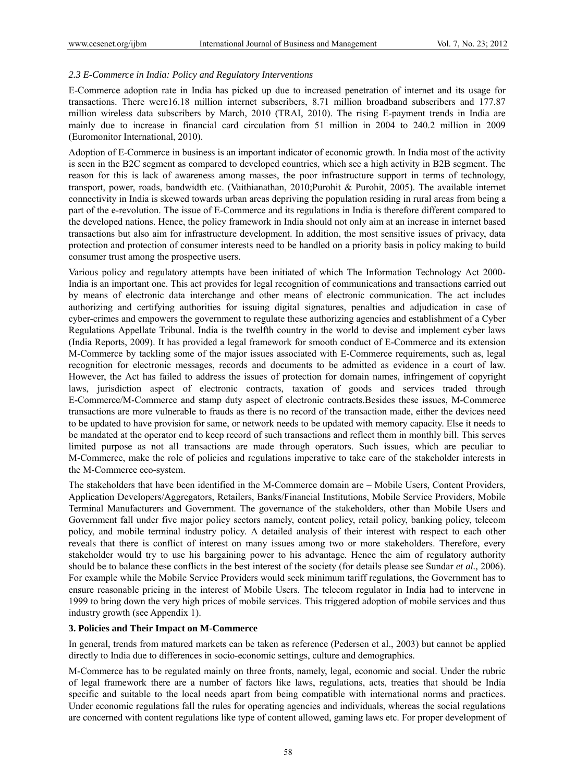#### *2.3 E-Commerce in India: Policy and Regulatory Interventions*

E-Commerce adoption rate in India has picked up due to increased penetration of internet and its usage for transactions. There were16.18 million internet subscribers, 8.71 million broadband subscribers and 177.87 million wireless data subscribers by March, 2010 (TRAI, 2010). The rising E-payment trends in India are mainly due to increase in financial card circulation from 51 million in 2004 to 240.2 million in 2009 (Euromonitor International, 2010).

Adoption of E-Commerce in business is an important indicator of economic growth. In India most of the activity is seen in the B2C segment as compared to developed countries, which see a high activity in B2B segment. The reason for this is lack of awareness among masses, the poor infrastructure support in terms of technology, transport, power, roads, bandwidth etc. (Vaithianathan, 2010;Purohit & Purohit, 2005). The available internet connectivity in India is skewed towards urban areas depriving the population residing in rural areas from being a part of the e-revolution. The issue of E-Commerce and its regulations in India is therefore different compared to the developed nations. Hence, the policy framework in India should not only aim at an increase in internet based transactions but also aim for infrastructure development. In addition, the most sensitive issues of privacy, data protection and protection of consumer interests need to be handled on a priority basis in policy making to build consumer trust among the prospective users.

Various policy and regulatory attempts have been initiated of which The Information Technology Act 2000- India is an important one. This act provides for legal recognition of communications and transactions carried out by means of electronic data interchange and other means of electronic communication. The act includes authorizing and certifying authorities for issuing digital signatures, penalties and adjudication in case of cyber-crimes and empowers the government to regulate these authorizing agencies and establishment of a Cyber Regulations Appellate Tribunal. India is the twelfth country in the world to devise and implement cyber laws (India Reports, 2009). It has provided a legal framework for smooth conduct of E-Commerce and its extension M-Commerce by tackling some of the major issues associated with E-Commerce requirements, such as, legal recognition for electronic messages, records and documents to be admitted as evidence in a court of law. However, the Act has failed to address the issues of protection for domain names, infringement of copyright laws, jurisdiction aspect of electronic contracts, taxation of goods and services traded through E-Commerce/M-Commerce and stamp duty aspect of electronic contracts.Besides these issues, M-Commerce transactions are more vulnerable to frauds as there is no record of the transaction made, either the devices need to be updated to have provision for same, or network needs to be updated with memory capacity. Else it needs to be mandated at the operator end to keep record of such transactions and reflect them in monthly bill. This serves limited purpose as not all transactions are made through operators. Such issues, which are peculiar to M-Commerce, make the role of policies and regulations imperative to take care of the stakeholder interests in the M-Commerce eco-system.

The stakeholders that have been identified in the M-Commerce domain are – Mobile Users, Content Providers, Application Developers/Aggregators, Retailers, Banks/Financial Institutions, Mobile Service Providers, Mobile Terminal Manufacturers and Government. The governance of the stakeholders, other than Mobile Users and Government fall under five major policy sectors namely, content policy, retail policy, banking policy, telecom policy, and mobile terminal industry policy. A detailed analysis of their interest with respect to each other reveals that there is conflict of interest on many issues among two or more stakeholders. Therefore, every stakeholder would try to use his bargaining power to his advantage. Hence the aim of regulatory authority should be to balance these conflicts in the best interest of the society (for details please see Sundar *et al.,* 2006). For example while the Mobile Service Providers would seek minimum tariff regulations, the Government has to ensure reasonable pricing in the interest of Mobile Users. The telecom regulator in India had to intervene in 1999 to bring down the very high prices of mobile services. This triggered adoption of mobile services and thus industry growth (see Appendix 1).

#### **3. Policies and Their Impact on M-Commerce**

In general, trends from matured markets can be taken as reference (Pedersen et al., 2003) but cannot be applied directly to India due to differences in socio-economic settings, culture and demographics.

M-Commerce has to be regulated mainly on three fronts, namely, legal, economic and social. Under the rubric of legal framework there are a number of factors like laws, regulations, acts, treaties that should be India specific and suitable to the local needs apart from being compatible with international norms and practices. Under economic regulations fall the rules for operating agencies and individuals, whereas the social regulations are concerned with content regulations like type of content allowed, gaming laws etc. For proper development of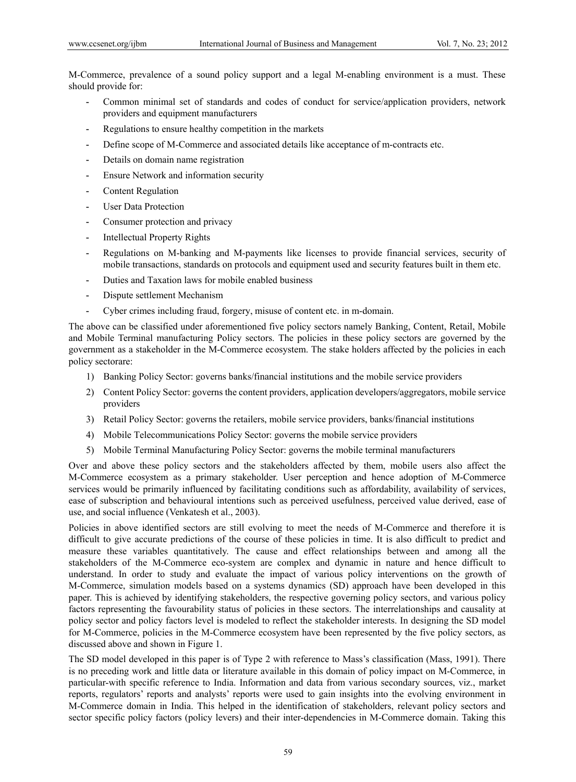M-Commerce, prevalence of a sound policy support and a legal M-enabling environment is a must. These should provide for:

- **-** Common minimal set of standards and codes of conduct for service/application providers, network providers and equipment manufacturers
- **-** Regulations to ensure healthy competition in the markets
- **-** Define scope of M-Commerce and associated details like acceptance of m-contracts etc.
- **-** Details on domain name registration
- **-** Ensure Network and information security
- **-** Content Regulation
- **-** User Data Protection
- **-** Consumer protection and privacy
- **-** Intellectual Property Rights
- **-** Regulations on M-banking and M-payments like licenses to provide financial services, security of mobile transactions, standards on protocols and equipment used and security features built in them etc.
- **-** Duties and Taxation laws for mobile enabled business
- **-** Dispute settlement Mechanism
- **-** Cyber crimes including fraud, forgery, misuse of content etc. in m-domain.

The above can be classified under aforementioned five policy sectors namely Banking, Content, Retail, Mobile and Mobile Terminal manufacturing Policy sectors. The policies in these policy sectors are governed by the government as a stakeholder in the M-Commerce ecosystem. The stake holders affected by the policies in each policy sectorare:

- 1) Banking Policy Sector: governs banks/financial institutions and the mobile service providers
- 2) Content Policy Sector: governs the content providers, application developers/aggregators, mobile service providers
- 3) Retail Policy Sector: governs the retailers, mobile service providers, banks/financial institutions
- 4) Mobile Telecommunications Policy Sector: governs the mobile service providers
- 5) Mobile Terminal Manufacturing Policy Sector: governs the mobile terminal manufacturers

Over and above these policy sectors and the stakeholders affected by them, mobile users also affect the M-Commerce ecosystem as a primary stakeholder. User perception and hence adoption of M-Commerce services would be primarily influenced by facilitating conditions such as affordability, availability of services, ease of subscription and behavioural intentions such as perceived usefulness, perceived value derived, ease of use, and social influence (Venkatesh et al., 2003).

Policies in above identified sectors are still evolving to meet the needs of M-Commerce and therefore it is difficult to give accurate predictions of the course of these policies in time. It is also difficult to predict and measure these variables quantitatively. The cause and effect relationships between and among all the stakeholders of the M-Commerce eco-system are complex and dynamic in nature and hence difficult to understand. In order to study and evaluate the impact of various policy interventions on the growth of M-Commerce, simulation models based on a systems dynamics (SD) approach have been developed in this paper. This is achieved by identifying stakeholders, the respective governing policy sectors, and various policy factors representing the favourability status of policies in these sectors. The interrelationships and causality at policy sector and policy factors level is modeled to reflect the stakeholder interests. In designing the SD model for M-Commerce, policies in the M-Commerce ecosystem have been represented by the five policy sectors, as discussed above and shown in Figure 1.

The SD model developed in this paper is of Type 2 with reference to Mass's classification (Mass, 1991). There is no preceding work and little data or literature available in this domain of policy impact on M-Commerce, in particular-with specific reference to India. Information and data from various secondary sources, viz., market reports, regulators' reports and analysts' reports were used to gain insights into the evolving environment in M-Commerce domain in India. This helped in the identification of stakeholders, relevant policy sectors and sector specific policy factors (policy levers) and their inter-dependencies in M-Commerce domain. Taking this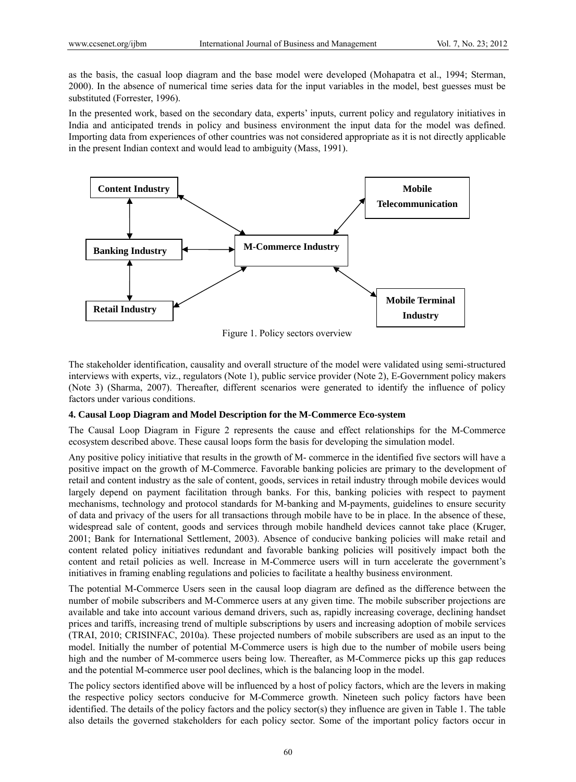as the basis, the casual loop diagram and the base model were developed (Mohapatra et al., 1994; Sterman, 2000). In the absence of numerical time series data for the input variables in the model, best guesses must be substituted (Forrester, 1996).

In the presented work, based on the secondary data, experts' inputs, current policy and regulatory initiatives in India and anticipated trends in policy and business environment the input data for the model was defined. Importing data from experiences of other countries was not considered appropriate as it is not directly applicable in the present Indian context and would lead to ambiguity (Mass, 1991).



Figure 1. Policy sectors overview

The stakeholder identification, causality and overall structure of the model were validated using semi-structured interviews with experts, viz., regulators (Note 1), public service provider (Note 2), E-Government policy makers (Note 3) (Sharma, 2007). Thereafter, different scenarios were generated to identify the influence of policy factors under various conditions.

# **4. Causal Loop Diagram and Model Description for the M-Commerce Eco-system**

The Causal Loop Diagram in Figure 2 represents the cause and effect relationships for the M-Commerce ecosystem described above. These causal loops form the basis for developing the simulation model.

Any positive policy initiative that results in the growth of M- commerce in the identified five sectors will have a positive impact on the growth of M-Commerce. Favorable banking policies are primary to the development of retail and content industry as the sale of content, goods, services in retail industry through mobile devices would largely depend on payment facilitation through banks. For this, banking policies with respect to payment mechanisms, technology and protocol standards for M-banking and M-payments, guidelines to ensure security of data and privacy of the users for all transactions through mobile have to be in place. In the absence of these, widespread sale of content, goods and services through mobile handheld devices cannot take place (Kruger, 2001; Bank for International Settlement, 2003). Absence of conducive banking policies will make retail and content related policy initiatives redundant and favorable banking policies will positively impact both the content and retail policies as well. Increase in M-Commerce users will in turn accelerate the government's initiatives in framing enabling regulations and policies to facilitate a healthy business environment.

The potential M-Commerce Users seen in the causal loop diagram are defined as the difference between the number of mobile subscribers and M-Commerce users at any given time. The mobile subscriber projections are available and take into account various demand drivers, such as, rapidly increasing coverage, declining handset prices and tariffs, increasing trend of multiple subscriptions by users and increasing adoption of mobile services (TRAI, 2010; CRISINFAC, 2010a). These projected numbers of mobile subscribers are used as an input to the model. Initially the number of potential M-Commerce users is high due to the number of mobile users being high and the number of M-commerce users being low. Thereafter, as M-Commerce picks up this gap reduces and the potential M-commerce user pool declines, which is the balancing loop in the model.

The policy sectors identified above will be influenced by a host of policy factors, which are the levers in making the respective policy sectors conducive for M-Commerce growth. Nineteen such policy factors have been identified. The details of the policy factors and the policy sector(s) they influence are given in Table 1. The table also details the governed stakeholders for each policy sector. Some of the important policy factors occur in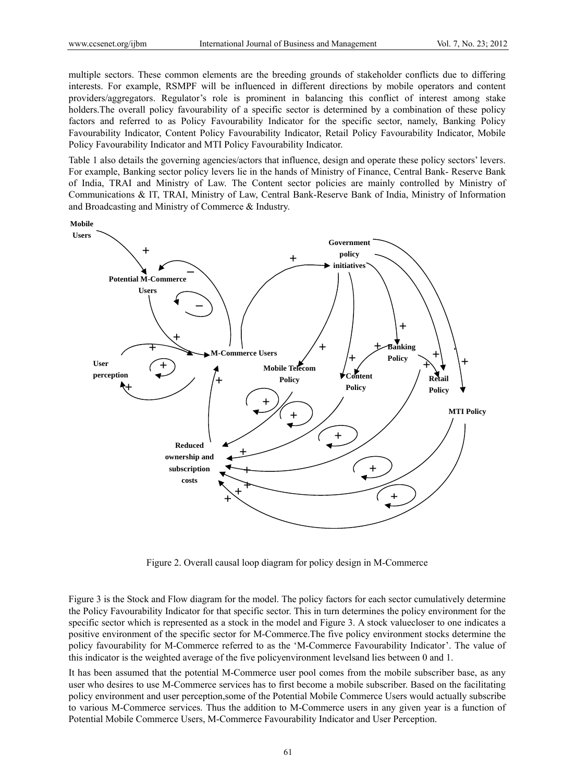multiple sectors. These common elements are the breeding grounds of stakeholder conflicts due to differing interests. For example, RSMPF will be influenced in different directions by mobile operators and content providers/aggregators. Regulator's role is prominent in balancing this conflict of interest among stake holders.The overall policy favourability of a specific sector is determined by a combination of these policy factors and referred to as Policy Favourability Indicator for the specific sector, namely, Banking Policy Favourability Indicator, Content Policy Favourability Indicator, Retail Policy Favourability Indicator, Mobile Policy Favourability Indicator and MTI Policy Favourability Indicator.

Table 1 also details the governing agencies/actors that influence, design and operate these policy sectors' levers. For example, Banking sector policy levers lie in the hands of Ministry of Finance, Central Bank- Reserve Bank of India, TRAI and Ministry of Law. The Content sector policies are mainly controlled by Ministry of Communications & IT, TRAI, Ministry of Law, Central Bank-Reserve Bank of India, Ministry of Information and Broadcasting and Ministry of Commerce & Industry.



Figure 2. Overall causal loop diagram for policy design in M-Commerce

Figure 3 is the Stock and Flow diagram for the model. The policy factors for each sector cumulatively determine the Policy Favourability Indicator for that specific sector. This in turn determines the policy environment for the specific sector which is represented as a stock in the model and Figure 3. A stock valuecloser to one indicates a positive environment of the specific sector for M-Commerce.The five policy environment stocks determine the policy favourability for M-Commerce referred to as the 'M-Commerce Favourability Indicator'. The value of this indicator is the weighted average of the five policyenvironment levelsand lies between 0 and 1.

It has been assumed that the potential M-Commerce user pool comes from the mobile subscriber base, as any user who desires to use M-Commerce services has to first become a mobile subscriber. Based on the facilitating policy environment and user perception,some of the Potential Mobile Commerce Users would actually subscribe to various M-Commerce services. Thus the addition to M-Commerce users in any given year is a function of Potential Mobile Commerce Users, M-Commerce Favourability Indicator and User Perception.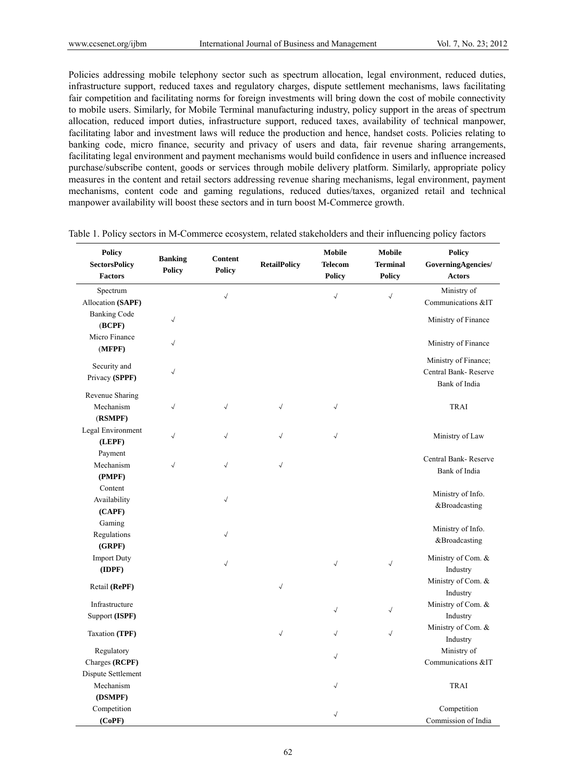Policies addressing mobile telephony sector such as spectrum allocation, legal environment, reduced duties, infrastructure support, reduced taxes and regulatory charges, dispute settlement mechanisms, laws facilitating fair competition and facilitating norms for foreign investments will bring down the cost of mobile connectivity to mobile users. Similarly, for Mobile Terminal manufacturing industry, policy support in the areas of spectrum allocation, reduced import duties, infrastructure support, reduced taxes, availability of technical manpower, facilitating labor and investment laws will reduce the production and hence, handset costs. Policies relating to banking code, micro finance, security and privacy of users and data, fair revenue sharing arrangements, facilitating legal environment and payment mechanisms would build confidence in users and influence increased purchase/subscribe content, goods or services through mobile delivery platform. Similarly, appropriate policy measures in the content and retail sectors addressing revenue sharing mechanisms, legal environment, payment mechanisms, content code and gaming regulations, reduced duties/taxes, organized retail and technical manpower availability will boost these sectors and in turn boost M-Commerce growth.

| <b>Policy</b><br><b>SectorsPolicy</b><br><b>Factors</b> | <b>Banking</b><br><b>Policy</b> | <b>Content</b><br><b>Policy</b> | <b>RetailPolicy</b> | <b>Mobile</b><br><b>Telecom</b><br><b>Policy</b> | <b>Mobile</b><br><b>Terminal</b><br><b>Policy</b> | <b>Policy</b><br>GoverningAgencies/<br><b>Actors</b>          |
|---------------------------------------------------------|---------------------------------|---------------------------------|---------------------|--------------------------------------------------|---------------------------------------------------|---------------------------------------------------------------|
| Spectrum<br>Allocation (SAPF)                           |                                 | $\checkmark$                    |                     | $\checkmark$                                     | $\sqrt{ }$                                        | Ministry of<br>Communications &IT                             |
| <b>Banking Code</b><br>(BCPF)                           | $\sqrt{ }$                      |                                 |                     |                                                  |                                                   | Ministry of Finance                                           |
| Micro Finance<br>(MFPF)                                 | $\sqrt{ }$                      |                                 |                     |                                                  |                                                   | Ministry of Finance                                           |
| Security and<br>Privacy (SPPF)                          | $\sqrt{ }$                      |                                 |                     |                                                  |                                                   | Ministry of Finance;<br>Central Bank-Reserve<br>Bank of India |
| Revenue Sharing<br>Mechanism<br>(RSMPF)                 | $\sqrt{ }$                      | $\checkmark$                    | $\checkmark$        | $\checkmark$                                     |                                                   | <b>TRAI</b>                                                   |
| Legal Environment<br>(LEPF)                             | $\sqrt{ }$                      | $\sqrt{ }$                      | $\sqrt{ }$          | $\sqrt{ }$                                       |                                                   | Ministry of Law                                               |
| Payment<br>Mechanism<br>(PMPF)                          | $\sqrt{ }$                      | $\sqrt{2}$                      | $\checkmark$        |                                                  |                                                   | Central Bank-Reserve<br>Bank of India                         |
| Content<br>Availability<br>(CAPF)                       |                                 | $\sqrt{ }$                      |                     |                                                  |                                                   | Ministry of Info.<br>&Broadcasting                            |
| Gaming<br>Regulations<br>(GRPF)                         |                                 | $\sqrt{ }$                      |                     |                                                  |                                                   | Ministry of Info.<br>&Broadcasting                            |
| <b>Import Duty</b><br>(IDPF)                            |                                 | $\sqrt{2}$                      |                     | $\sqrt{ }$                                       | $\sqrt{ }$                                        | Ministry of Com. &<br>Industry<br>Ministry of Com. &          |
| Retail (RePF)                                           |                                 |                                 | $\sqrt{ }$          |                                                  |                                                   | Industry                                                      |
| Infrastructure<br>Support (ISPF)                        |                                 |                                 |                     | $\checkmark$                                     | $\sqrt{}$                                         | Ministry of Com. &<br>Industry                                |
| Taxation (TPF)                                          |                                 |                                 | $\sqrt{ }$          | $\checkmark$                                     | $\sqrt{ }$                                        | Ministry of Com. &<br>Industry                                |
| Regulatory<br>Charges (RCPF)<br>Dispute Settlement      |                                 |                                 |                     | $\sqrt{}$                                        |                                                   | Ministry of<br>Communications &IT                             |
| Mechanism<br>(DSMPF)                                    |                                 |                                 |                     | $\checkmark$                                     |                                                   | <b>TRAI</b>                                                   |
| Competition<br>(CoPF)                                   |                                 |                                 |                     | $\checkmark$                                     |                                                   | Competition<br>Commission of India                            |

Table 1. Policy sectors in M-Commerce ecosystem, related stakeholders and their influencing policy factors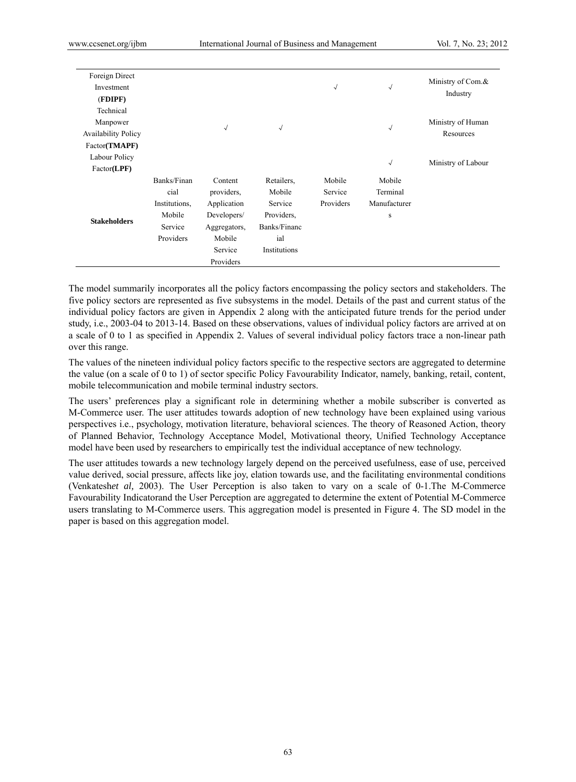| Foreign Direct<br>Investment |               |              |              | $\sqrt{ }$ | $\sqrt{ }$   | Ministry of Com.&  |
|------------------------------|---------------|--------------|--------------|------------|--------------|--------------------|
| (FDIPF)                      |               |              |              |            |              | Industry           |
| Technical                    |               |              |              |            |              |                    |
| Manpower                     |               |              |              |            |              | Ministry of Human  |
| <b>Availability Policy</b>   |               | $\sqrt{ }$   | $\sqrt{}$    |            | $\sqrt{ }$   | Resources          |
| Factor(TMAPF)                |               |              |              |            |              |                    |
| Labour Policy                |               |              |              |            |              |                    |
| $Factor(\mathbf{LPF})$       |               |              |              |            | $\sqrt{ }$   | Ministry of Labour |
|                              | Banks/Finan   | Content      | Retailers,   | Mobile     | Mobile       |                    |
| <b>Stakeholders</b>          | cial          | providers,   | Mobile       | Service    | Terminal     |                    |
|                              | Institutions, | Application  | Service      | Providers  | Manufacturer |                    |
|                              | Mobile        | Developers/  | Providers,   |            | S            |                    |
|                              | Service       | Aggregators, | Banks/Financ |            |              |                    |
|                              | Providers     | Mobile       | ial          |            |              |                    |
|                              |               | Service      | Institutions |            |              |                    |
|                              |               | Providers    |              |            |              |                    |

The model summarily incorporates all the policy factors encompassing the policy sectors and stakeholders. The five policy sectors are represented as five subsystems in the model. Details of the past and current status of the individual policy factors are given in Appendix 2 along with the anticipated future trends for the period under study, i.e., 2003-04 to 2013-14. Based on these observations, values of individual policy factors are arrived at on a scale of 0 to 1 as specified in Appendix 2. Values of several individual policy factors trace a non-linear path over this range.

The values of the nineteen individual policy factors specific to the respective sectors are aggregated to determine the value (on a scale of 0 to 1) of sector specific Policy Favourability Indicator, namely, banking, retail, content, mobile telecommunication and mobile terminal industry sectors.

The users' preferences play a significant role in determining whether a mobile subscriber is converted as M-Commerce user. The user attitudes towards adoption of new technology have been explained using various perspectives i.e., psychology, motivation literature, behavioral sciences. The theory of Reasoned Action, theory of Planned Behavior, Technology Acceptance Model, Motivational theory, Unified Technology Acceptance model have been used by researchers to empirically test the individual acceptance of new technology.

The user attitudes towards a new technology largely depend on the perceived usefulness, ease of use, perceived value derived, social pressure, affects like joy, elation towards use, and the facilitating environmental conditions (Venkatesh*et al,* 2003). The User Perception is also taken to vary on a scale of 0-1.The M-Commerce Favourability Indicatorand the User Perception are aggregated to determine the extent of Potential M-Commerce users translating to M-Commerce users. This aggregation model is presented in Figure 4. The SD model in the paper is based on this aggregation model.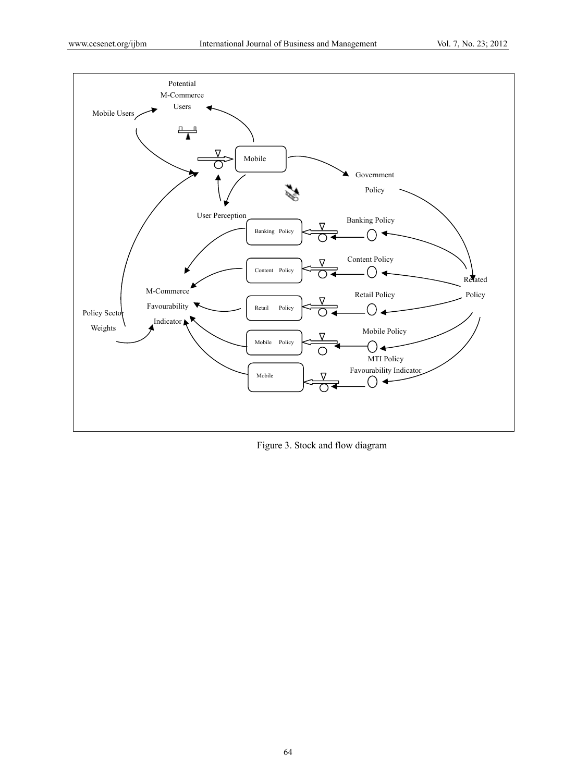

Figure 3. Stock and flow diagram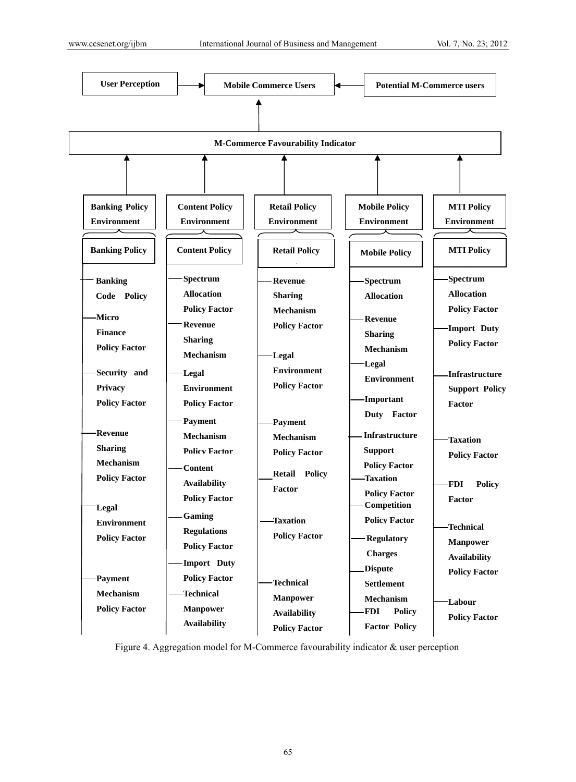

Figure 4. Aggregation model for M-Commerce favourability indicator & user perception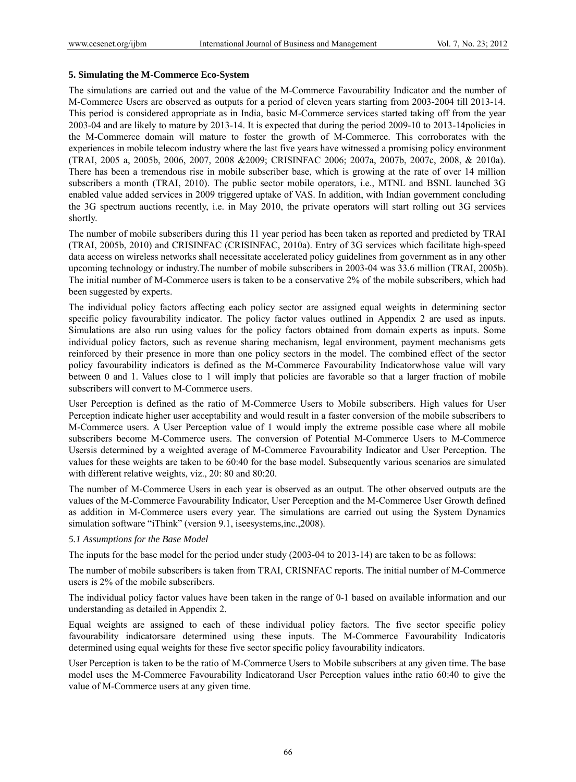#### **5. Simulating the M-Commerce Eco-System**

The simulations are carried out and the value of the M-Commerce Favourability Indicator and the number of M-Commerce Users are observed as outputs for a period of eleven years starting from 2003-2004 till 2013-14. This period is considered appropriate as in India, basic M-Commerce services started taking off from the year 2003-04 and are likely to mature by 2013-14. It is expected that during the period 2009-10 to 2013-14policies in the M-Commerce domain will mature to foster the growth of M-Commerce. This corroborates with the experiences in mobile telecom industry where the last five years have witnessed a promising policy environment (TRAI, 2005 a, 2005b, 2006, 2007, 2008 &2009; CRISINFAC 2006; 2007a, 2007b, 2007c, 2008, & 2010a). There has been a tremendous rise in mobile subscriber base, which is growing at the rate of over 14 million subscribers a month (TRAI, 2010). The public sector mobile operators, i.e., MTNL and BSNL launched 3G enabled value added services in 2009 triggered uptake of VAS. In addition, with Indian government concluding the 3G spectrum auctions recently, i.e. in May 2010, the private operators will start rolling out 3G services shortly.

The number of mobile subscribers during this 11 year period has been taken as reported and predicted by TRAI (TRAI, 2005b, 2010) and CRISINFAC (CRISINFAC, 2010a). Entry of 3G services which facilitate high-speed data access on wireless networks shall necessitate accelerated policy guidelines from government as in any other upcoming technology or industry.The number of mobile subscribers in 2003-04 was 33.6 million (TRAI, 2005b). The initial number of M-Commerce users is taken to be a conservative 2% of the mobile subscribers, which had been suggested by experts.

The individual policy factors affecting each policy sector are assigned equal weights in determining sector specific policy favourability indicator. The policy factor values outlined in Appendix 2 are used as inputs. Simulations are also run using values for the policy factors obtained from domain experts as inputs. Some individual policy factors, such as revenue sharing mechanism, legal environment, payment mechanisms gets reinforced by their presence in more than one policy sectors in the model. The combined effect of the sector policy favourability indicators is defined as the M-Commerce Favourability Indicatorwhose value will vary between 0 and 1. Values close to 1 will imply that policies are favorable so that a larger fraction of mobile subscribers will convert to M-Commerce users.

User Perception is defined as the ratio of M-Commerce Users to Mobile subscribers. High values for User Perception indicate higher user acceptability and would result in a faster conversion of the mobile subscribers to M-Commerce users. A User Perception value of 1 would imply the extreme possible case where all mobile subscribers become M-Commerce users. The conversion of Potential M-Commerce Users to M-Commerce Usersis determined by a weighted average of M-Commerce Favourability Indicator and User Perception. The values for these weights are taken to be 60:40 for the base model. Subsequently various scenarios are simulated with different relative weights, viz., 20: 80 and 80:20.

The number of M-Commerce Users in each year is observed as an output. The other observed outputs are the values of the M-Commerce Favourability Indicator, User Perception and the M-Commerce User Growth defined as addition in M-Commerce users every year. The simulations are carried out using the System Dynamics simulation software "iThink" (version 9.1, iseesystems,inc.,2008).

## *5.1 Assumptions for the Base Model*

The inputs for the base model for the period under study (2003-04 to 2013-14) are taken to be as follows:

The number of mobile subscribers is taken from TRAI, CRISNFAC reports. The initial number of M-Commerce users is 2% of the mobile subscribers.

The individual policy factor values have been taken in the range of 0-1 based on available information and our understanding as detailed in Appendix 2.

Equal weights are assigned to each of these individual policy factors. The five sector specific policy favourability indicatorsare determined using these inputs. The M-Commerce Favourability Indicatoris determined using equal weights for these five sector specific policy favourability indicators.

User Perception is taken to be the ratio of M-Commerce Users to Mobile subscribers at any given time. The base model uses the M-Commerce Favourability Indicatorand User Perception values inthe ratio 60:40 to give the value of M-Commerce users at any given time.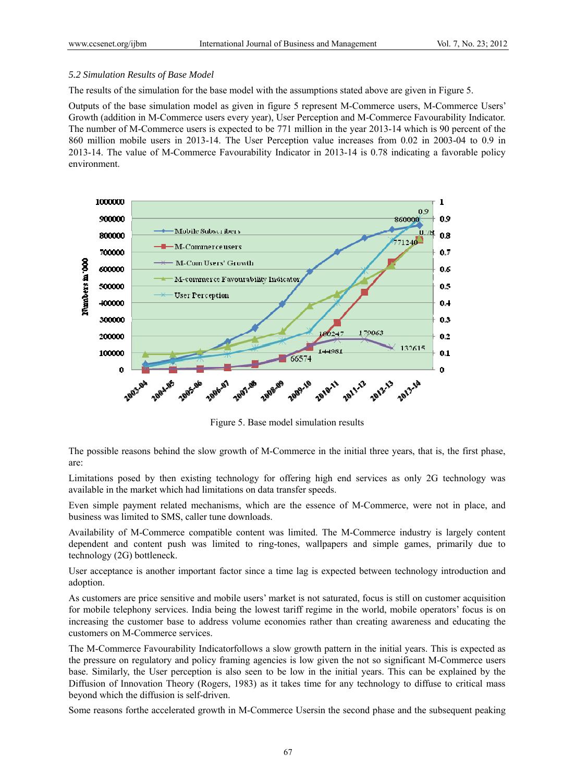## *5.2 Simulation Results of Base Model*

The results of the simulation for the base model with the assumptions stated above are given in Figure 5.

Outputs of the base simulation model as given in figure 5 represent M-Commerce users, M-Commerce Users' Growth (addition in M-Commerce users every year), User Perception and M-Commerce Favourability Indicator. The number of M-Commerce users is expected to be 771 million in the year 2013-14 which is 90 percent of the 860 million mobile users in 2013-14. The User Perception value increases from 0.02 in 2003-04 to 0.9 in 2013-14. The value of M-Commerce Favourability Indicator in 2013-14 is 0.78 indicating a favorable policy environment.



Figure 5. Base model simulation results

The possible reasons behind the slow growth of M-Commerce in the initial three years, that is, the first phase, are:

Limitations posed by then existing technology for offering high end services as only 2G technology was available in the market which had limitations on data transfer speeds.

Even simple payment related mechanisms, which are the essence of M-Commerce, were not in place, and business was limited to SMS, caller tune downloads.

Availability of M-Commerce compatible content was limited. The M-Commerce industry is largely content dependent and content push was limited to ring-tones, wallpapers and simple games, primarily due to technology (2G) bottleneck.

User acceptance is another important factor since a time lag is expected between technology introduction and adoption.

As customers are price sensitive and mobile users' market is not saturated, focus is still on customer acquisition for mobile telephony services. India being the lowest tariff regime in the world, mobile operators' focus is on increasing the customer base to address volume economies rather than creating awareness and educating the customers on M-Commerce services.

The M-Commerce Favourability Indicatorfollows a slow growth pattern in the initial years. This is expected as the pressure on regulatory and policy framing agencies is low given the not so significant M-Commerce users base. Similarly, the User perception is also seen to be low in the initial years. This can be explained by the Diffusion of Innovation Theory (Rogers, 1983) as it takes time for any technology to diffuse to critical mass beyond which the diffusion is self-driven.

Some reasons forthe accelerated growth in M-Commerce Usersin the second phase and the subsequent peaking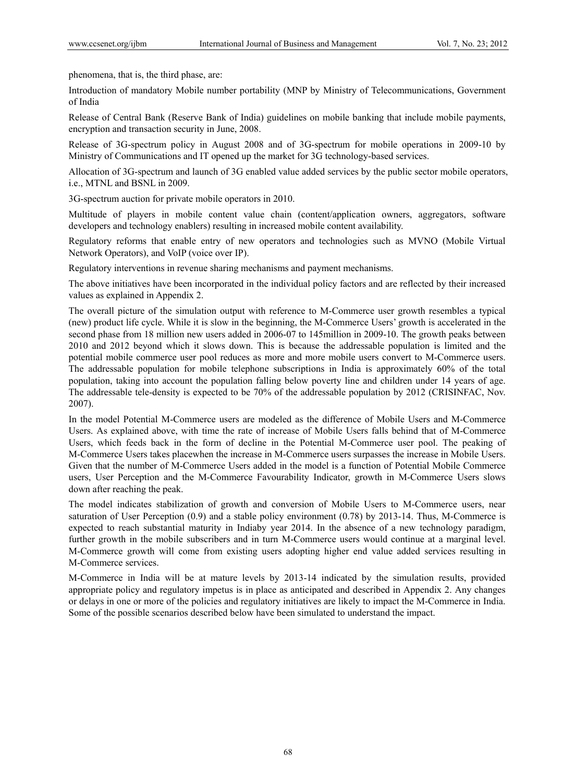phenomena, that is, the third phase, are:

Introduction of mandatory Mobile number portability (MNP by Ministry of Telecommunications, Government of India

Release of Central Bank (Reserve Bank of India) guidelines on mobile banking that include mobile payments, encryption and transaction security in June, 2008.

Release of 3G-spectrum policy in August 2008 and of 3G-spectrum for mobile operations in 2009-10 by Ministry of Communications and IT opened up the market for 3G technology-based services.

Allocation of 3G-spectrum and launch of 3G enabled value added services by the public sector mobile operators, i.e., MTNL and BSNL in 2009.

3G-spectrum auction for private mobile operators in 2010.

Multitude of players in mobile content value chain (content/application owners, aggregators, software developers and technology enablers) resulting in increased mobile content availability.

Regulatory reforms that enable entry of new operators and technologies such as MVNO (Mobile Virtual Network Operators), and VoIP (voice over IP).

Regulatory interventions in revenue sharing mechanisms and payment mechanisms.

The above initiatives have been incorporated in the individual policy factors and are reflected by their increased values as explained in Appendix 2.

The overall picture of the simulation output with reference to M-Commerce user growth resembles a typical (new) product life cycle. While it is slow in the beginning, the M-Commerce Users' growth is accelerated in the second phase from 18 million new users added in 2006-07 to 145million in 2009-10. The growth peaks between 2010 and 2012 beyond which it slows down. This is because the addressable population is limited and the potential mobile commerce user pool reduces as more and more mobile users convert to M-Commerce users. The addressable population for mobile telephone subscriptions in India is approximately 60% of the total population, taking into account the population falling below poverty line and children under 14 years of age. The addressable tele-density is expected to be 70% of the addressable population by 2012 (CRISINFAC, Nov. 2007).

In the model Potential M-Commerce users are modeled as the difference of Mobile Users and M-Commerce Users. As explained above, with time the rate of increase of Mobile Users falls behind that of M-Commerce Users, which feeds back in the form of decline in the Potential M-Commerce user pool. The peaking of M-Commerce Users takes placewhen the increase in M-Commerce users surpasses the increase in Mobile Users. Given that the number of M-Commerce Users added in the model is a function of Potential Mobile Commerce users, User Perception and the M-Commerce Favourability Indicator, growth in M-Commerce Users slows down after reaching the peak.

The model indicates stabilization of growth and conversion of Mobile Users to M-Commerce users, near saturation of User Perception (0.9) and a stable policy environment (0.78) by 2013-14. Thus, M-Commerce is expected to reach substantial maturity in Indiaby year 2014. In the absence of a new technology paradigm, further growth in the mobile subscribers and in turn M-Commerce users would continue at a marginal level. M-Commerce growth will come from existing users adopting higher end value added services resulting in M-Commerce services.

M-Commerce in India will be at mature levels by 2013-14 indicated by the simulation results, provided appropriate policy and regulatory impetus is in place as anticipated and described in Appendix 2. Any changes or delays in one or more of the policies and regulatory initiatives are likely to impact the M-Commerce in India. Some of the possible scenarios described below have been simulated to understand the impact.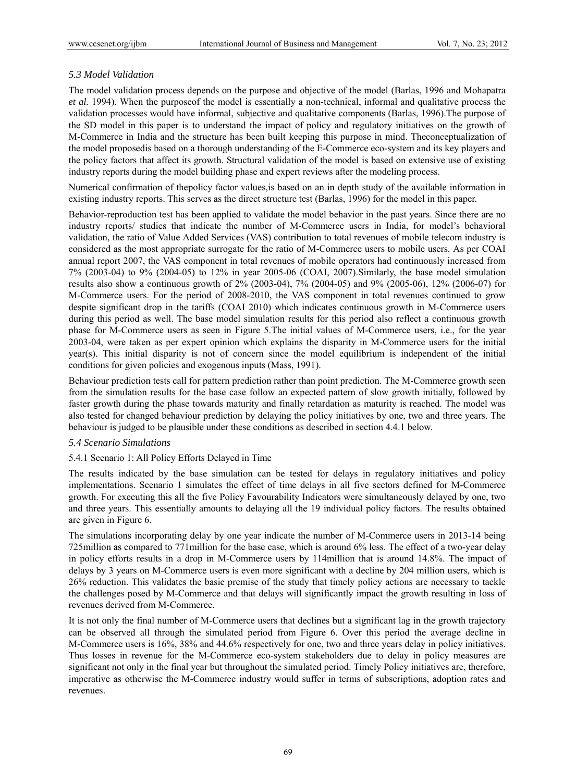# *5.3 Model Validation*

The model validation process depends on the purpose and objective of the model (Barlas, 1996 and Mohapatra *et al.* 1994). When the purposeof the model is essentially a non-technical, informal and qualitative process the validation processes would have informal, subjective and qualitative components (Barlas, 1996).The purpose of the SD model in this paper is to understand the impact of policy and regulatory initiatives on the growth of M-Commerce in India and the structure has been built keeping this purpose in mind. Theconceptualization of the model proposedis based on a thorough understanding of the E-Commerce eco-system and its key players and the policy factors that affect its growth. Structural validation of the model is based on extensive use of existing industry reports during the model building phase and expert reviews after the modeling process.

Numerical confirmation of thepolicy factor values,is based on an in depth study of the available information in existing industry reports. This serves as the direct structure test (Barlas, 1996) for the model in this paper.

Behavior-reproduction test has been applied to validate the model behavior in the past years. Since there are no industry reports/ studies that indicate the number of M-Commerce users in India, for model's behavioral validation, the ratio of Value Added Services (VAS) contribution to total revenues of mobile telecom industry is considered as the most appropriate surrogate for the ratio of M-Commerce users to mobile users. As per COAI annual report 2007, the VAS component in total revenues of mobile operators had continuously increased from 7% (2003-04) to 9% (2004-05) to 12% in year 2005-06 (COAI, 2007).Similarly, the base model simulation results also show a continuous growth of 2% (2003-04), 7% (2004-05) and 9% (2005-06), 12% (2006-07) for M-Commerce users. For the period of 2008-2010, the VAS component in total revenues continued to grow despite significant drop in the tariffs (COAI 2010) which indicates continuous growth in M-Commerce users during this period as well. The base model simulation results for this period also reflect a continuous growth phase for M-Commerce users as seen in Figure 5.The initial values of M-Commerce users, i.e., for the year 2003-04, were taken as per expert opinion which explains the disparity in M-Commerce users for the initial year(s). This initial disparity is not of concern since the model equilibrium is independent of the initial conditions for given policies and exogenous inputs (Mass, 1991).

Behaviour prediction tests call for pattern prediction rather than point prediction. The M-Commerce growth seen from the simulation results for the base case follow an expected pattern of slow growth initially, followed by faster growth during the phase towards maturity and finally retardation as maturity is reached. The model was also tested for changed behaviour prediction by delaying the policy initiatives by one, two and three years. The behaviour is judged to be plausible under these conditions as described in section 4.4.1 below.

# *5.4 Scenario Simulations*

## 5.4.1 Scenario 1: All Policy Efforts Delayed in Time

The results indicated by the base simulation can be tested for delays in regulatory initiatives and policy implementations. Scenario 1 simulates the effect of time delays in all five sectors defined for M-Commerce growth. For executing this all the five Policy Favourability Indicators were simultaneously delayed by one, two and three years. This essentially amounts to delaying all the 19 individual policy factors. The results obtained are given in Figure 6.

The simulations incorporating delay by one year indicate the number of M-Commerce users in 2013-14 being 725million as compared to 771million for the base case, which is around 6% less. The effect of a two-year delay in policy efforts results in a drop in M-Commerce users by 114million that is around 14.8%. The impact of delays by 3 years on M-Commerce users is even more significant with a decline by 204 million users, which is 26% reduction. This validates the basic premise of the study that timely policy actions are necessary to tackle the challenges posed by M-Commerce and that delays will significantly impact the growth resulting in loss of revenues derived from M-Commerce.

It is not only the final number of M-Commerce users that declines but a significant lag in the growth trajectory can be observed all through the simulated period from Figure 6. Over this period the average decline in M-Commerce users is 16%, 38% and 44.6% respectively for one, two and three years delay in policy initiatives. Thus losses in revenue for the M-Commerce eco-system stakeholders due to delay in policy measures are significant not only in the final year but throughout the simulated period. Timely Policy initiatives are, therefore, imperative as otherwise the M-Commerce industry would suffer in terms of subscriptions, adoption rates and revenues.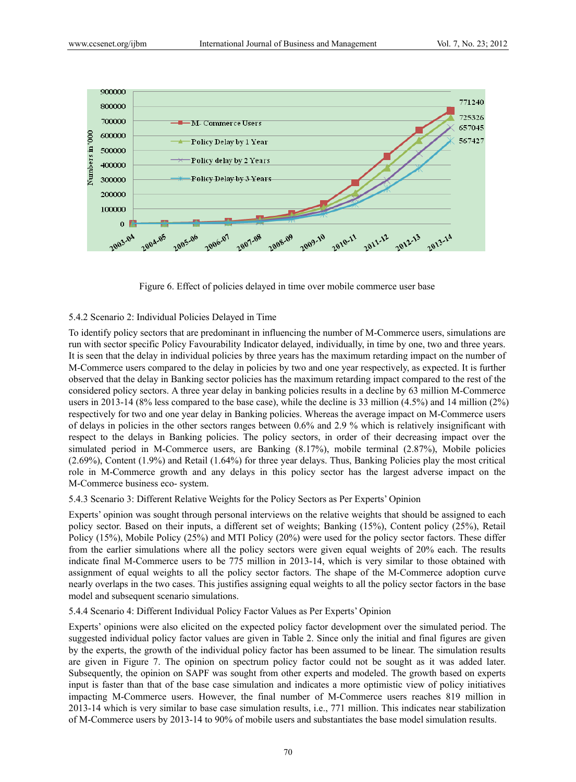

Figure 6. Effect of policies delayed in time over mobile commerce user base

# 5.4.2 Scenario 2: Individual Policies Delayed in Time

To identify policy sectors that are predominant in influencing the number of M-Commerce users, simulations are run with sector specific Policy Favourability Indicator delayed, individually, in time by one, two and three years. It is seen that the delay in individual policies by three years has the maximum retarding impact on the number of M-Commerce users compared to the delay in policies by two and one year respectively, as expected. It is further observed that the delay in Banking sector policies has the maximum retarding impact compared to the rest of the considered policy sectors. A three year delay in banking policies results in a decline by 63 million M-Commerce users in 2013-14 (8% less compared to the base case), while the decline is 33 million (4.5%) and 14 million (2%) respectively for two and one year delay in Banking policies. Whereas the average impact on M-Commerce users of delays in policies in the other sectors ranges between 0.6% and 2.9 % which is relatively insignificant with respect to the delays in Banking policies. The policy sectors, in order of their decreasing impact over the simulated period in M-Commerce users, are Banking (8.17%), mobile terminal (2.87%), Mobile policies (2.69%), Content (1.9%) and Retail (1.64%) for three year delays. Thus, Banking Policies play the most critical role in M-Commerce growth and any delays in this policy sector has the largest adverse impact on the M-Commerce business eco- system.

5.4.3 Scenario 3: Different Relative Weights for the Policy Sectors as Per Experts' Opinion

Experts' opinion was sought through personal interviews on the relative weights that should be assigned to each policy sector. Based on their inputs, a different set of weights; Banking (15%), Content policy (25%), Retail Policy (15%), Mobile Policy (25%) and MTI Policy (20%) were used for the policy sector factors. These differ from the earlier simulations where all the policy sectors were given equal weights of 20% each. The results indicate final M-Commerce users to be 775 million in 2013-14, which is very similar to those obtained with assignment of equal weights to all the policy sector factors. The shape of the M-Commerce adoption curve nearly overlaps in the two cases. This justifies assigning equal weights to all the policy sector factors in the base model and subsequent scenario simulations.

5.4.4 Scenario 4: Different Individual Policy Factor Values as Per Experts' Opinion

Experts' opinions were also elicited on the expected policy factor development over the simulated period. The suggested individual policy factor values are given in Table 2. Since only the initial and final figures are given by the experts, the growth of the individual policy factor has been assumed to be linear. The simulation results are given in Figure 7. The opinion on spectrum policy factor could not be sought as it was added later. Subsequently, the opinion on SAPF was sought from other experts and modeled. The growth based on experts input is faster than that of the base case simulation and indicates a more optimistic view of policy initiatives impacting M-Commerce users. However, the final number of M-Commerce users reaches 819 million in 2013-14 which is very similar to base case simulation results, i.e., 771 million. This indicates near stabilization of M-Commerce users by 2013-14 to 90% of mobile users and substantiates the base model simulation results.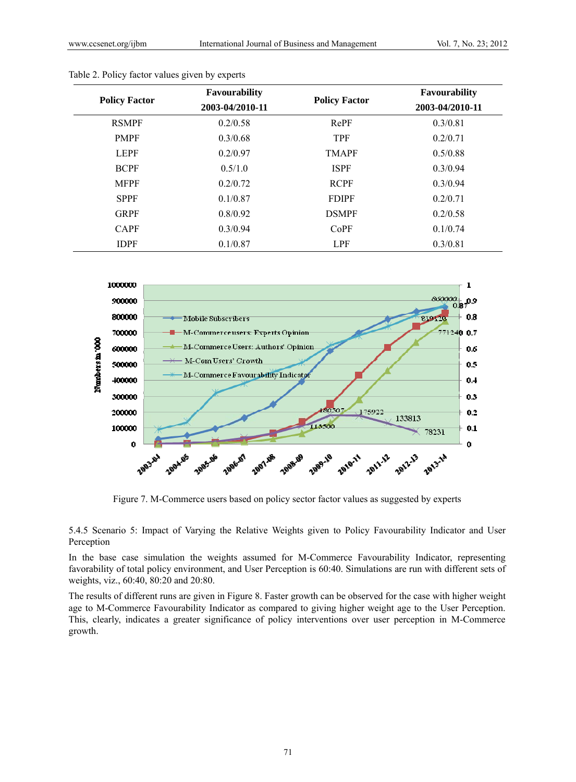|                      | <b>Favourability</b> |                      | <b>Favourability</b> |
|----------------------|----------------------|----------------------|----------------------|
| <b>Policy Factor</b> | 2003-04/2010-11      | <b>Policy Factor</b> | 2003-04/2010-11      |
| <b>RSMPF</b>         | 0.2/0.58             | RePF                 | 0.3/0.81             |
| <b>PMPF</b>          | 0.3/0.68             | <b>TPF</b>           | 0.2/0.71             |
| <b>LEPF</b>          | 0.2/0.97             | <b>TMAPF</b>         | 0.5/0.88             |
| <b>BCPF</b>          | 0.5/1.0              | <b>ISPF</b>          | 0.3/0.94             |
| <b>MFPF</b>          | 0.2/0.72             | <b>RCPF</b>          | 0.3/0.94             |
| <b>SPPF</b>          | 0.1/0.87             | <b>FDIPF</b>         | 0.2/0.71             |
| <b>GRPF</b>          | 0.8/0.92             | <b>DSMPF</b>         | 0.2/0.58             |
| <b>CAPF</b>          | 0.3/0.94             | CoPF                 | 0.1/0.74             |
| <b>IDPF</b>          | 0.1/0.87             | LPF                  | 0.3/0.81             |





Figure 7. M-Commerce users based on policy sector factor values as suggested by experts

5.4.5 Scenario 5: Impact of Varying the Relative Weights given to Policy Favourability Indicator and User Perception

In the base case simulation the weights assumed for M-Commerce Favourability Indicator, representing favorability of total policy environment, and User Perception is 60:40. Simulations are run with different sets of weights, viz., 60:40, 80:20 and 20:80.

The results of different runs are given in Figure 8. Faster growth can be observed for the case with higher weight age to M-Commerce Favourability Indicator as compared to giving higher weight age to the User Perception. This, clearly, indicates a greater significance of policy interventions over user perception in M-Commerce growth.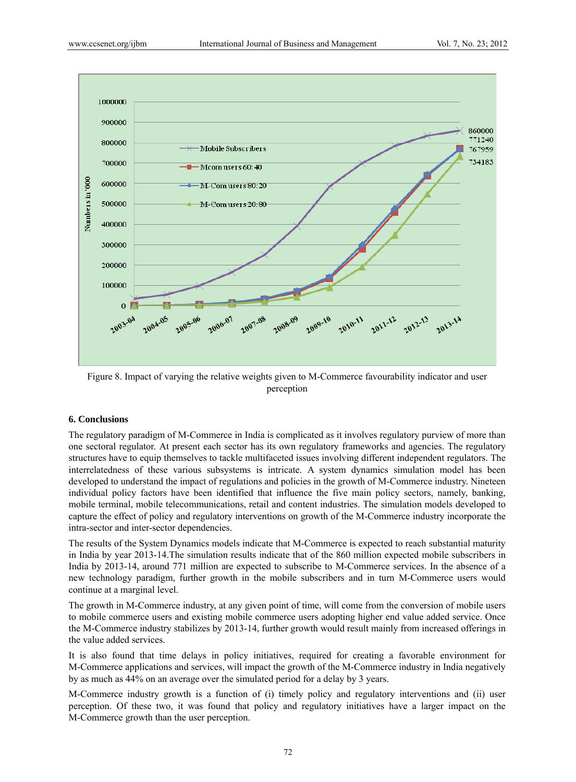

Figure 8. Impact of varying the relative weights given to M-Commerce favourability indicator and user perception

#### **6. Conclusions**

The regulatory paradigm of M-Commerce in India is complicated as it involves regulatory purview of more than one sectoral regulator. At present each sector has its own regulatory frameworks and agencies. The regulatory structures have to equip themselves to tackle multifaceted issues involving different independent regulators. The interrelatedness of these various subsystems is intricate. A system dynamics simulation model has been developed to understand the impact of regulations and policies in the growth of M-Commerce industry. Nineteen individual policy factors have been identified that influence the five main policy sectors, namely, banking, mobile terminal, mobile telecommunications, retail and content industries. The simulation models developed to capture the effect of policy and regulatory interventions on growth of the M-Commerce industry incorporate the intra-sector and inter-sector dependencies.

The results of the System Dynamics models indicate that M-Commerce is expected to reach substantial maturity in India by year 2013-14.The simulation results indicate that of the 860 million expected mobile subscribers in India by 2013-14, around 771 million are expected to subscribe to M-Commerce services. In the absence of a new technology paradigm, further growth in the mobile subscribers and in turn M-Commerce users would continue at a marginal level.

The growth in M-Commerce industry, at any given point of time, will come from the conversion of mobile users to mobile commerce users and existing mobile commerce users adopting higher end value added service. Once the M-Commerce industry stabilizes by 2013-14, further growth would result mainly from increased offerings in the value added services.

It is also found that time delays in policy initiatives, required for creating a favorable environment for M-Commerce applications and services, will impact the growth of the M-Commerce industry in India negatively by as much as 44% on an average over the simulated period for a delay by 3 years.

M-Commerce industry growth is a function of (i) timely policy and regulatory interventions and (ii) user perception. Of these two, it was found that policy and regulatory initiatives have a larger impact on the M-Commerce growth than the user perception.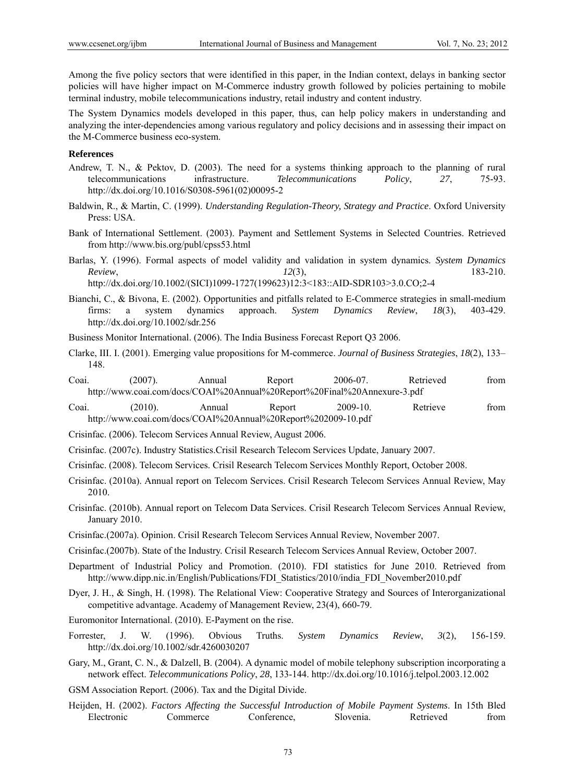Among the five policy sectors that were identified in this paper, in the Indian context, delays in banking sector policies will have higher impact on M-Commerce industry growth followed by policies pertaining to mobile terminal industry, mobile telecommunications industry, retail industry and content industry.

The System Dynamics models developed in this paper, thus, can help policy makers in understanding and analyzing the inter-dependencies among various regulatory and policy decisions and in assessing their impact on the M-Commerce business eco-system.

#### **References**

- Andrew, T. N., & Pektov, D. (2003). The need for a systems thinking approach to the planning of rural telecommunications infrastructure. *Telecommunications Policy*, *27*, 75-93. http://dx.doi.org/10.1016/S0308-5961(02)00095-2
- Baldwin, R., & Martin, C. (1999). *Understanding Regulation-Theory, Strategy and Practice*. Oxford University Press: USA.
- Bank of International Settlement. (2003). Payment and Settlement Systems in Selected Countries. Retrieved from http://www.bis.org/publ/cpss53.html
- Barlas, Y. (1996). Formal aspects of model validity and validation in system dynamics. *System Dynamics Review***,** 12(3), 183-210. http://dx.doi.org/10.1002/(SICI)1099-1727(199623)12:3<183::AID-SDR103>3.0.CO;2-4
- Bianchi, C., & Bivona, E. (2002). Opportunities and pitfalls related to E-Commerce strategies in small-medium firms: a system dynamics approach. *System Dynamics Review*, *18*(3), 403-429. http://dx.doi.org/10.1002/sdr.256

Business Monitor International. (2006). The India Business Forecast Report Q3 2006.

- Clarke, III. I. (2001). Emerging value propositions for M-commerce. *Journal of Business Strategies*, *18*(2), 133– 148.
- Coai. (2007). Annual Report 2006-07. Retrieved from http://www.coai.com/docs/COAI%20Annual%20Report%20Final%20Annexure-3.pdf
- Coai. (2010). Annual Report 2009-10. Retrieve from http://www.coai.com/docs/COAI%20Annual%20Report%202009-10.pdf
- Crisinfac. (2006). Telecom Services Annual Review, August 2006.
- Crisinfac. (2007c). Industry Statistics.Crisil Research Telecom Services Update, January 2007.
- Crisinfac. (2008). Telecom Services. Crisil Research Telecom Services Monthly Report, October 2008.
- Crisinfac. (2010a). Annual report on Telecom Services. Crisil Research Telecom Services Annual Review, May 2010.
- Crisinfac. (2010b). Annual report on Telecom Data Services. Crisil Research Telecom Services Annual Review, January 2010.
- Crisinfac.(2007a). Opinion. Crisil Research Telecom Services Annual Review, November 2007.
- Crisinfac.(2007b). State of the Industry. Crisil Research Telecom Services Annual Review, October 2007.
- Department of Industrial Policy and Promotion. (2010). FDI statistics for June 2010. Retrieved from http://www.dipp.nic.in/English/Publications/FDI\_Statistics/2010/india\_FDI\_November2010.pdf
- Dyer, J. H., & Singh, H. (1998). The Relational View: Cooperative Strategy and Sources of Interorganizational competitive advantage. Academy of Management Review, 23(4), 660-79.
- Euromonitor International. (2010). E-Payment on the rise.
- Forrester, J. W. (1996). Obvious Truths. *System Dynamics Review*, *3*(2), 156-159. http://dx.doi.org/10.1002/sdr.4260030207
- Gary, M., Grant, C. N., & Dalzell, B. (2004). A dynamic model of mobile telephony subscription incorporating a network effect. *Telecommunications Policy*, *28*, 133-144. http://dx.doi.org/10.1016/j.telpol.2003.12.002
- GSM Association Report. (2006). Tax and the Digital Divide.
- Heijden, H. (2002). *Factors Affecting the Successful Introduction of Mobile Payment Systems*. In 15th Bled Electronic Commerce Conference, Slovenia. Retrieved from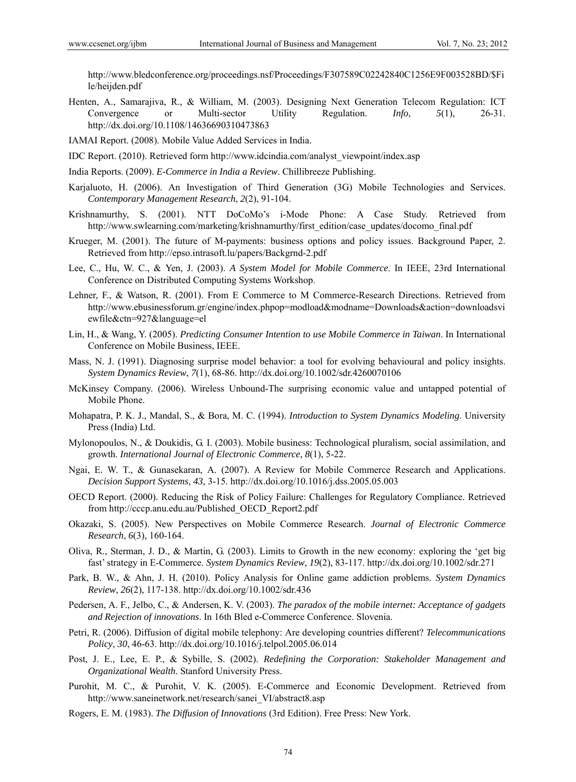http://www.bledconference.org/proceedings.nsf/Proceedings/F307589C02242840C1256E9F003528BD/\$Fi le/heijden.pdf

- Henten, A., Samarajiva, R., & William, M. (2003). Designing Next Generation Telecom Regulation: ICT Convergence or Multi-sector Utility Regulation. *Info*, *5*(1), 26-31. http://dx.doi.org/10.1108/14636690310473863
- IAMAI Report. (2008). Mobile Value Added Services in India.
- IDC Report. (2010). Retrieved form http://www.idcindia.com/analyst\_viewpoint/index.asp
- India Reports. (2009). *E-Commerce in India a Review*. Chillibreeze Publishing.
- Karjaluoto, H. (2006). An Investigation of Third Generation (3G) Mobile Technologies and Services. *Contemporary Management Research*, *2*(2), 91-104.
- Krishnamurthy, S. (2001). NTT DoCoMo's i-Mode Phone: A Case Study. Retrieved from http://www.swlearning.com/marketing/krishnamurthy/first\_edition/case\_updates/docomo\_final.pdf
- Krueger, M. (2001). The future of M-payments: business options and policy issues. Background Paper, 2. Retrieved from http://epso.intrasoft.lu/papers/Backgrnd-2.pdf
- Lee, C., Hu, W. C., & Yen, J. (2003). *A System Model for Mobile Commerce*. In IEEE, 23rd International Conference on Distributed Computing Systems Workshop.
- Lehner, F., & Watson, R. (2001). From E Commerce to M Commerce-Research Directions. Retrieved from http://www.ebusinessforum.gr/engine/index.phpop=modload&modname=Downloads&action=downloadsvi ewfile&ctn=927&language=el
- Lin, H., & Wang, Y. (2005). *Predicting Consumer Intention to use Mobile Commerce in Taiwan*. In International Conference on Mobile Business, IEEE.
- Mass, N. J. (1991). Diagnosing surprise model behavior: a tool for evolving behavioural and policy insights. *System Dynamics Review*, *7*(1), 68-86. http://dx.doi.org/10.1002/sdr.4260070106
- McKinsey Company. (2006). Wireless Unbound-The surprising economic value and untapped potential of Mobile Phone.
- Mohapatra, P. K. J., Mandal, S., & Bora, M. C. (1994). *Introduction to System Dynamics Modeling*. University Press (India) Ltd.
- Mylonopoulos, N., & Doukidis, G. I. (2003). Mobile business: Technological pluralism, social assimilation, and growth. *International Journal of Electronic Commerce*, *8*(1), 5-22.
- Ngai, E. W. T., & Gunasekaran, A. (2007). A Review for Mobile Commerce Research and Applications. *Decision Support Systems*, *43*, 3-15. http://dx.doi.org/10.1016/j.dss.2005.05.003
- OECD Report. (2000). Reducing the Risk of Policy Failure: Challenges for Regulatory Compliance. Retrieved from http://cccp.anu.edu.au/Published\_OECD\_Report2.pdf
- Okazaki, S. (2005). New Perspectives on Mobile Commerce Research. *Journal of Electronic Commerce Research*, *6*(3), 160-164.
- Oliva, R., Sterman, J. D., & Martin, G. (2003). Limits to Growth in the new economy: exploring the 'get big fast' strategy in E-Commerce. *System Dynamics Review*, *19*(2), 83-117. http://dx.doi.org/10.1002/sdr.271
- Park, B. W., & Ahn, J. H. (2010). Policy Analysis for Online game addiction problems. *System Dynamics Review*, *26*(2), 117-138. http://dx.doi.org/10.1002/sdr.436
- Pedersen, A. F., Jelbo, C., & Andersen, K. V. (2003). *The paradox of the mobile internet: Acceptance of gadgets and Rejection of innovations*. In 16th Bled e-Commerce Conference. Slovenia.
- Petri, R. (2006). Diffusion of digital mobile telephony: Are developing countries different? *Telecommunications Policy*, *30*, 46-63. http://dx.doi.org/10.1016/j.telpol.2005.06.014
- Post, J. E., Lee, E. P., & Sybille, S. (2002). *Redefining the Corporation: Stakeholder Management and Organizational Wealth*. Stanford University Press.
- Purohit, M. C., & Purohit, V. K. (2005). E-Commerce and Economic Development. Retrieved from http://www.saneinetwork.net/research/sanei\_VI/abstract8.asp
- Rogers, E. M. (1983). *The Diffusion of Innovations* (3rd Edition). Free Press: New York.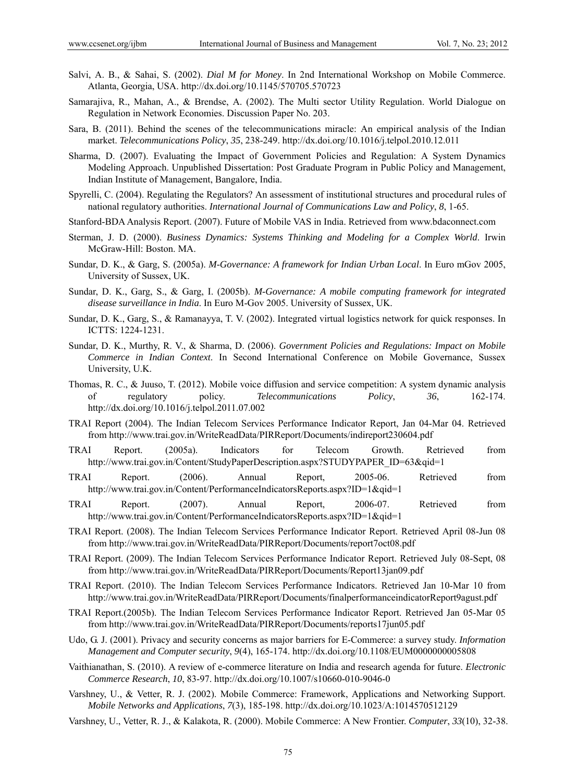- Salvi, A. B., & Sahai, S. (2002). *Dial M for Money*. In 2nd International Workshop on Mobile Commerce. Atlanta, Georgia, USA. http://dx.doi.org/10.1145/570705.570723
- Samarajiva, R., Mahan, A., & Brendse, A. (2002). The Multi sector Utility Regulation. World Dialogue on Regulation in Network Economies. Discussion Paper No. 203.
- Sara, B. (2011). Behind the scenes of the telecommunications miracle: An empirical analysis of the Indian market. *Telecommunications Policy*, *35*, 238-249. http://dx.doi.org/10.1016/j.telpol.2010.12.011
- Sharma, D. (2007). Evaluating the Impact of Government Policies and Regulation: A System Dynamics Modeling Approach. Unpublished Dissertation: Post Graduate Program in Public Policy and Management, Indian Institute of Management, Bangalore, India.
- Spyrelli, C. (2004). Regulating the Regulators? An assessment of institutional structures and procedural rules of national regulatory authorities. *International Journal of Communications Law and Policy*, *8*, 1-65.
- Stanford-BDA Analysis Report. (2007). Future of Mobile VAS in India. Retrieved from www.bdaconnect.com
- Sterman, J. D. (2000). *Business Dynamics: Systems Thinking and Modeling for a Complex World*. Irwin McGraw-Hill: Boston. MA.
- Sundar, D. K., & Garg, S. (2005a). *M-Governance: A framework for Indian Urban Local*. In Euro mGov 2005, University of Sussex, UK.
- Sundar, D. K., Garg, S., & Garg, I. (2005b). *M-Governance: A mobile computing framework for integrated disease surveillance in India*. In Euro M-Gov 2005. University of Sussex, UK.
- Sundar, D. K., Garg, S., & Ramanayya, T. V. (2002). Integrated virtual logistics network for quick responses. In ICTTS: 1224-1231.
- Sundar, D. K., Murthy, R. V., & Sharma, D. (2006). *Government Policies and Regulations: Impact on Mobile Commerce in Indian Context*. In Second International Conference on Mobile Governance, Sussex University, U.K.
- Thomas, R. C., & Juuso, T. (2012). Mobile voice diffusion and service competition: A system dynamic analysis of regulatory policy. *Telecommunications Policy*, *36*, 162-174. http://dx.doi.org/10.1016/j.telpol.2011.07.002
- TRAI Report (2004). The Indian Telecom Services Performance Indicator Report, Jan 04-Mar 04. Retrieved from http://www.trai.gov.in/WriteReadData/PIRReport/Documents/indireport230604.pdf
- TRAI Report. (2005a). Indicators for Telecom Growth. Retrieved from http://www.trai.gov.in/Content/StudyPaperDescription.aspx?STUDYPAPER\_ID=63&qid=1
- TRAI Report. (2006). Annual Report, 2005-06. Retrieved from http://www.trai.gov.in/Content/PerformanceIndicatorsReports.aspx?ID=1&qid=1
- TRAI Report. (2007). Annual Report, 2006-07. Retrieved from http://www.trai.gov.in/Content/PerformanceIndicatorsReports.aspx?ID=1&qid=1
- TRAI Report. (2008). The Indian Telecom Services Performance Indicator Report. Retrieved April 08-Jun 08 from http://www.trai.gov.in/WriteReadData/PIRReport/Documents/report7oct08.pdf
- TRAI Report. (2009). The Indian Telecom Services Performance Indicator Report. Retrieved July 08-Sept, 08 from http://www.trai.gov.in/WriteReadData/PIRReport/Documents/Report13jan09.pdf
- TRAI Report. (2010). The Indian Telecom Services Performance Indicators. Retrieved Jan 10-Mar 10 from http://www.trai.gov.in/WriteReadData/PIRReport/Documents/finalperformanceindicatorReport9agust.pdf
- TRAI Report.(2005b). The Indian Telecom Services Performance Indicator Report. Retrieved Jan 05-Mar 05 from http://www.trai.gov.in/WriteReadData/PIRReport/Documents/reports17jun05.pdf
- Udo, G. J. (2001). Privacy and security concerns as major barriers for E-Commerce: a survey study. *Information Management and Computer security*, *9*(4), 165-174. http://dx.doi.org/10.1108/EUM0000000005808
- Vaithianathan, S. (2010). A review of e-commerce literature on India and research agenda for future. *Electronic Commerce Research*, *10*, 83-97. http://dx.doi.org/10.1007/s10660-010-9046-0
- Varshney, U., & Vetter, R. J. (2002). Mobile Commerce: Framework, Applications and Networking Support. *Mobile Networks and Applications*, *7*(3), 185-198. http://dx.doi.org/10.1023/A:1014570512129
- Varshney, U., Vetter, R. J., & Kalakota, R. (2000). Mobile Commerce: A New Frontier. *Computer*, *33*(10), 32-38.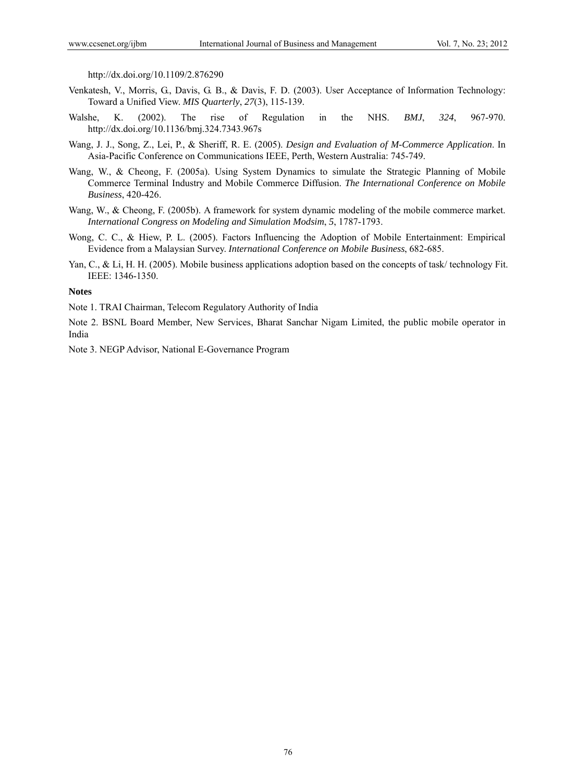http://dx.doi.org/10.1109/2.876290

- Venkatesh, V., Morris, G., Davis, G. B., & Davis, F. D. (2003). User Acceptance of Information Technology: Toward a Unified View. *MIS Quarterly*, *27*(3), 115-139.
- Walshe, K. (2002). The rise of Regulation in the NHS. *BMJ*, *324*, 967-970. http://dx.doi.org/10.1136/bmj.324.7343.967s
- Wang, J. J., Song, Z., Lei, P., & Sheriff, R. E. (2005). *Design and Evaluation of M-Commerce Application*. In Asia-Pacific Conference on Communications IEEE, Perth, Western Australia: 745-749.
- Wang, W., & Cheong, F. (2005a). Using System Dynamics to simulate the Strategic Planning of Mobile Commerce Terminal Industry and Mobile Commerce Diffusion. *The International Conference on Mobile Business*, 420-426.
- Wang, W., & Cheong, F. (2005b). A framework for system dynamic modeling of the mobile commerce market. *International Congress on Modeling and Simulation Modsim*, *5*, 1787-1793.
- Wong, C. C., & Hiew, P. L. (2005). Factors Influencing the Adoption of Mobile Entertainment: Empirical Evidence from a Malaysian Survey. *International Conference on Mobile Business*, 682-685.
- Yan, C., & Li, H. H. (2005). Mobile business applications adoption based on the concepts of task/ technology Fit. IEEE: 1346-1350.

#### **Notes**

Note 1. TRAI Chairman, Telecom Regulatory Authority of India

Note 2. BSNL Board Member, New Services, Bharat Sanchar Nigam Limited, the public mobile operator in India

Note 3. NEGP Advisor, National E-Governance Program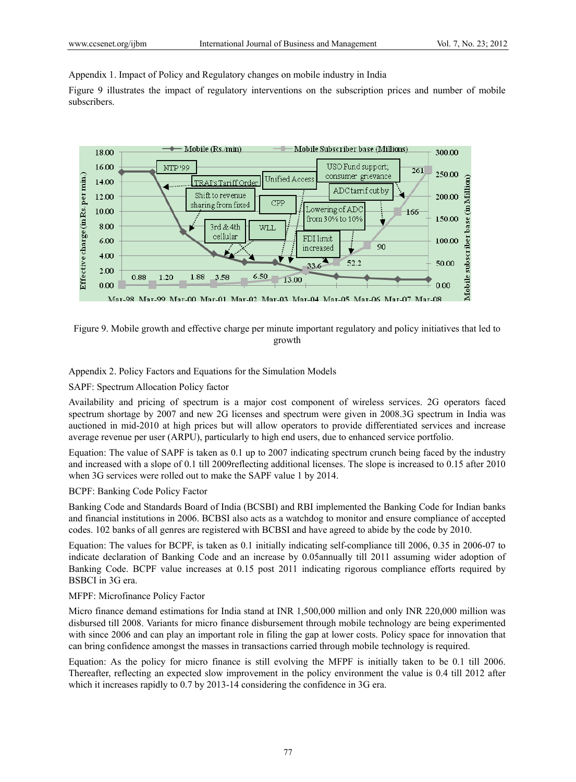6.00

4.00

2.00

 $0.00$ 

100.00

50.00

0.00



6.50

Mar-98 Mar-99 Mar-00 Mar-01 Mar-02 Mar-03 Mar-04 Mar-05 Mar-06 Mar-07 Mar

Appendix 1. Impact of Policy and Regulatory changes on mobile industry in India

cellular

3.58

Figure 9 illustrates the impact of regulatory interventions on the subscription prices and number of mobile subscribers.



13.00

FDI limit

increased

33.6

▲

52.2

90

Appendix 2. Policy Factors and Equations for the Simulation Models

1.88

# SAPF: Spectrum Allocation Policy factor

0.88

1.20

Availability and pricing of spectrum is a major cost component of wireless services. 2G operators faced spectrum shortage by 2007 and new 2G licenses and spectrum were given in 2008.3G spectrum in India was auctioned in mid-2010 at high prices but will allow operators to provide differentiated services and increase average revenue per user (ARPU), particularly to high end users, due to enhanced service portfolio.

Equation: The value of SAPF is taken as 0.1 up to 2007 indicating spectrum crunch being faced by the industry and increased with a slope of 0.1 till 2009reflecting additional licenses. The slope is increased to 0.15 after 2010 when 3G services were rolled out to make the SAPF value 1 by 2014.

# BCPF: Banking Code Policy Factor

Banking Code and Standards Board of India (BCSBI) and RBI implemented the Banking Code for Indian banks and financial institutions in 2006. BCBSI also acts as a watchdog to monitor and ensure compliance of accepted codes. 102 banks of all genres are registered with BCBSI and have agreed to abide by the code by 2010.

Equation: The values for BCPF, is taken as 0.1 initially indicating self-compliance till 2006, 0.35 in 2006-07 to indicate declaration of Banking Code and an increase by 0.05annually till 2011 assuming wider adoption of Banking Code. BCPF value increases at 0.15 post 2011 indicating rigorous compliance efforts required by BSBCI in 3G era.

## MFPF: Microfinance Policy Factor

Micro finance demand estimations for India stand at INR 1,500,000 million and only INR 220,000 million was disbursed till 2008. Variants for micro finance disbursement through mobile technology are being experimented with since 2006 and can play an important role in filing the gap at lower costs. Policy space for innovation that can bring confidence amongst the masses in transactions carried through mobile technology is required.

Equation: As the policy for micro finance is still evolving the MFPF is initially taken to be 0.1 till 2006. Thereafter, reflecting an expected slow improvement in the policy environment the value is 0.4 till 2012 after which it increases rapidly to 0.7 by 2013-14 considering the confidence in 3G era.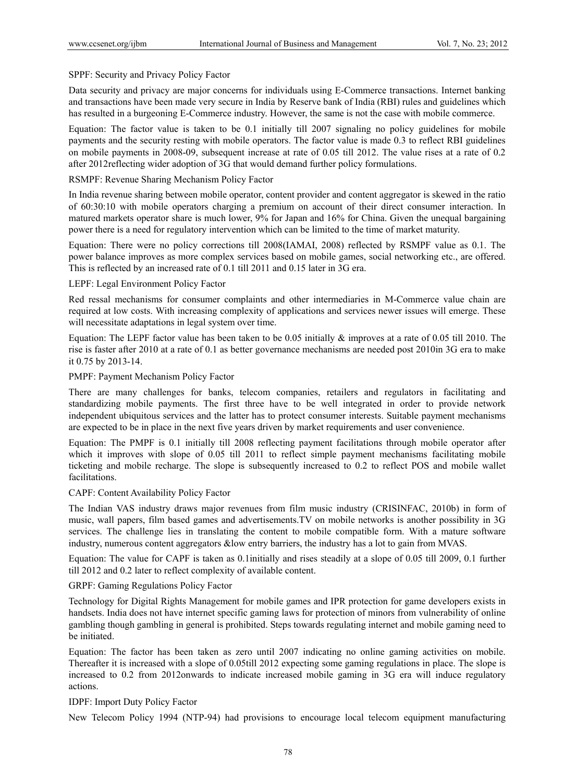## SPPF: Security and Privacy Policy Factor

Data security and privacy are major concerns for individuals using E-Commerce transactions. Internet banking and transactions have been made very secure in India by Reserve bank of India (RBI) rules and guidelines which has resulted in a burgeoning E-Commerce industry. However, the same is not the case with mobile commerce.

Equation: The factor value is taken to be 0.1 initially till 2007 signaling no policy guidelines for mobile payments and the security resting with mobile operators. The factor value is made 0.3 to reflect RBI guidelines on mobile payments in 2008-09, subsequent increase at rate of 0.05 till 2012. The value rises at a rate of 0.2 after 2012reflecting wider adoption of 3G that would demand further policy formulations.

## RSMPF: Revenue Sharing Mechanism Policy Factor

In India revenue sharing between mobile operator, content provider and content aggregator is skewed in the ratio of 60:30:10 with mobile operators charging a premium on account of their direct consumer interaction. In matured markets operator share is much lower, 9% for Japan and 16% for China. Given the unequal bargaining power there is a need for regulatory intervention which can be limited to the time of market maturity.

Equation: There were no policy corrections till 2008(IAMAI, 2008) reflected by RSMPF value as 0.1. The power balance improves as more complex services based on mobile games, social networking etc., are offered. This is reflected by an increased rate of 0.1 till 2011 and 0.15 later in 3G era.

## LEPF: Legal Environment Policy Factor

Red ressal mechanisms for consumer complaints and other intermediaries in M-Commerce value chain are required at low costs. With increasing complexity of applications and services newer issues will emerge. These will necessitate adaptations in legal system over time.

Equation: The LEPF factor value has been taken to be 0.05 initially & improves at a rate of 0.05 till 2010. The rise is faster after 2010 at a rate of 0.1 as better governance mechanisms are needed post 2010in 3G era to make it 0.75 by 2013-14.

## PMPF: Payment Mechanism Policy Factor

There are many challenges for banks, telecom companies, retailers and regulators in facilitating and standardizing mobile payments. The first three have to be well integrated in order to provide network independent ubiquitous services and the latter has to protect consumer interests. Suitable payment mechanisms are expected to be in place in the next five years driven by market requirements and user convenience.

Equation: The PMPF is 0.1 initially till 2008 reflecting payment facilitations through mobile operator after which it improves with slope of 0.05 till 2011 to reflect simple payment mechanisms facilitating mobile ticketing and mobile recharge. The slope is subsequently increased to 0.2 to reflect POS and mobile wallet facilitations.

## CAPF: Content Availability Policy Factor

The Indian VAS industry draws major revenues from film music industry (CRISINFAC, 2010b) in form of music, wall papers, film based games and advertisements.TV on mobile networks is another possibility in 3G services. The challenge lies in translating the content to mobile compatible form. With a mature software industry, numerous content aggregators &low entry barriers, the industry has a lot to gain from MVAS.

Equation: The value for CAPF is taken as 0.1initially and rises steadily at a slope of 0.05 till 2009, 0.1 further till 2012 and 0.2 later to reflect complexity of available content.

## GRPF: Gaming Regulations Policy Factor

Technology for Digital Rights Management for mobile games and IPR protection for game developers exists in handsets. India does not have internet specific gaming laws for protection of minors from vulnerability of online gambling though gambling in general is prohibited. Steps towards regulating internet and mobile gaming need to be initiated.

Equation: The factor has been taken as zero until 2007 indicating no online gaming activities on mobile. Thereafter it is increased with a slope of 0.05till 2012 expecting some gaming regulations in place. The slope is increased to 0.2 from 2012onwards to indicate increased mobile gaming in 3G era will induce regulatory actions.

#### IDPF: Import Duty Policy Factor

New Telecom Policy 1994 (NTP-94) had provisions to encourage local telecom equipment manufacturing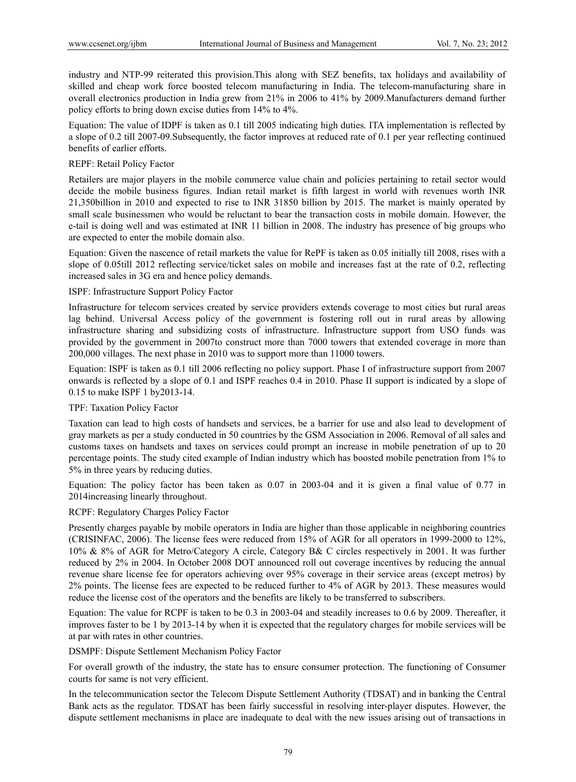industry and NTP-99 reiterated this provision.This along with SEZ benefits, tax holidays and availability of skilled and cheap work force boosted telecom manufacturing in India. The telecom-manufacturing share in overall electronics production in India grew from 21% in 2006 to 41% by 2009.Manufacturers demand further policy efforts to bring down excise duties from 14% to 4%.

Equation: The value of IDPF is taken as 0.1 till 2005 indicating high duties. ITA implementation is reflected by a slope of 0.2 till 2007-09.Subsequently, the factor improves at reduced rate of 0.1 per year reflecting continued benefits of earlier efforts.

## REPF: Retail Policy Factor

Retailers are major players in the mobile commerce value chain and policies pertaining to retail sector would decide the mobile business figures. Indian retail market is fifth largest in world with revenues worth INR 21,350billion in 2010 and expected to rise to INR 31850 billion by 2015. The market is mainly operated by small scale businessmen who would be reluctant to bear the transaction costs in mobile domain. However, the e-tail is doing well and was estimated at INR 11 billion in 2008. The industry has presence of big groups who are expected to enter the mobile domain also.

Equation: Given the nascence of retail markets the value for RePF is taken as 0.05 initially till 2008, rises with a slope of 0.05till 2012 reflecting service/ticket sales on mobile and increases fast at the rate of 0.2, reflecting increased sales in 3G era and hence policy demands.

## ISPF: Infrastructure Support Policy Factor

Infrastructure for telecom services created by service providers extends coverage to most cities but rural areas lag behind. Universal Access policy of the government is fostering roll out in rural areas by allowing infrastructure sharing and subsidizing costs of infrastructure. Infrastructure support from USO funds was provided by the government in 2007to construct more than 7000 towers that extended coverage in more than 200,000 villages. The next phase in 2010 was to support more than 11000 towers.

Equation: ISPF is taken as 0.1 till 2006 reflecting no policy support. Phase I of infrastructure support from 2007 onwards is reflected by a slope of 0.1 and ISPF reaches 0.4 in 2010. Phase II support is indicated by a slope of 0.15 to make ISPF 1 by2013-14.

#### TPF: Taxation Policy Factor

Taxation can lead to high costs of handsets and services, be a barrier for use and also lead to development of gray markets as per a study conducted in 50 countries by the GSM Association in 2006. Removal of all sales and customs taxes on handsets and taxes on services could prompt an increase in mobile penetration of up to 20 percentage points. The study cited example of Indian industry which has boosted mobile penetration from 1% to 5% in three years by reducing duties.

Equation: The policy factor has been taken as 0.07 in 2003-04 and it is given a final value of 0.77 in 2014increasing linearly throughout.

#### RCPF: Regulatory Charges Policy Factor

Presently charges payable by mobile operators in India are higher than those applicable in neighboring countries (CRISINFAC, 2006). The license fees were reduced from 15% of AGR for all operators in 1999-2000 to 12%, 10% & 8% of AGR for Metro/Category A circle, Category B& C circles respectively in 2001. It was further reduced by 2% in 2004. In October 2008 DOT announced roll out coverage incentives by reducing the annual revenue share license fee for operators achieving over 95% coverage in their service areas (except metros) by 2% points. The license fees are expected to be reduced further to 4% of AGR by 2013. These measures would reduce the license cost of the operators and the benefits are likely to be transferred to subscribers.

Equation: The value for RCPF is taken to be 0.3 in 2003-04 and steadily increases to 0.6 by 2009. Thereafter, it improves faster to be 1 by 2013-14 by when it is expected that the regulatory charges for mobile services will be at par with rates in other countries.

DSMPF: Dispute Settlement Mechanism Policy Factor

For overall growth of the industry, the state has to ensure consumer protection. The functioning of Consumer courts for same is not very efficient.

In the telecommunication sector the Telecom Dispute Settlement Authority (TDSAT) and in banking the Central Bank acts as the regulator. TDSAT has been fairly successful in resolving inter-player disputes. However, the dispute settlement mechanisms in place are inadequate to deal with the new issues arising out of transactions in